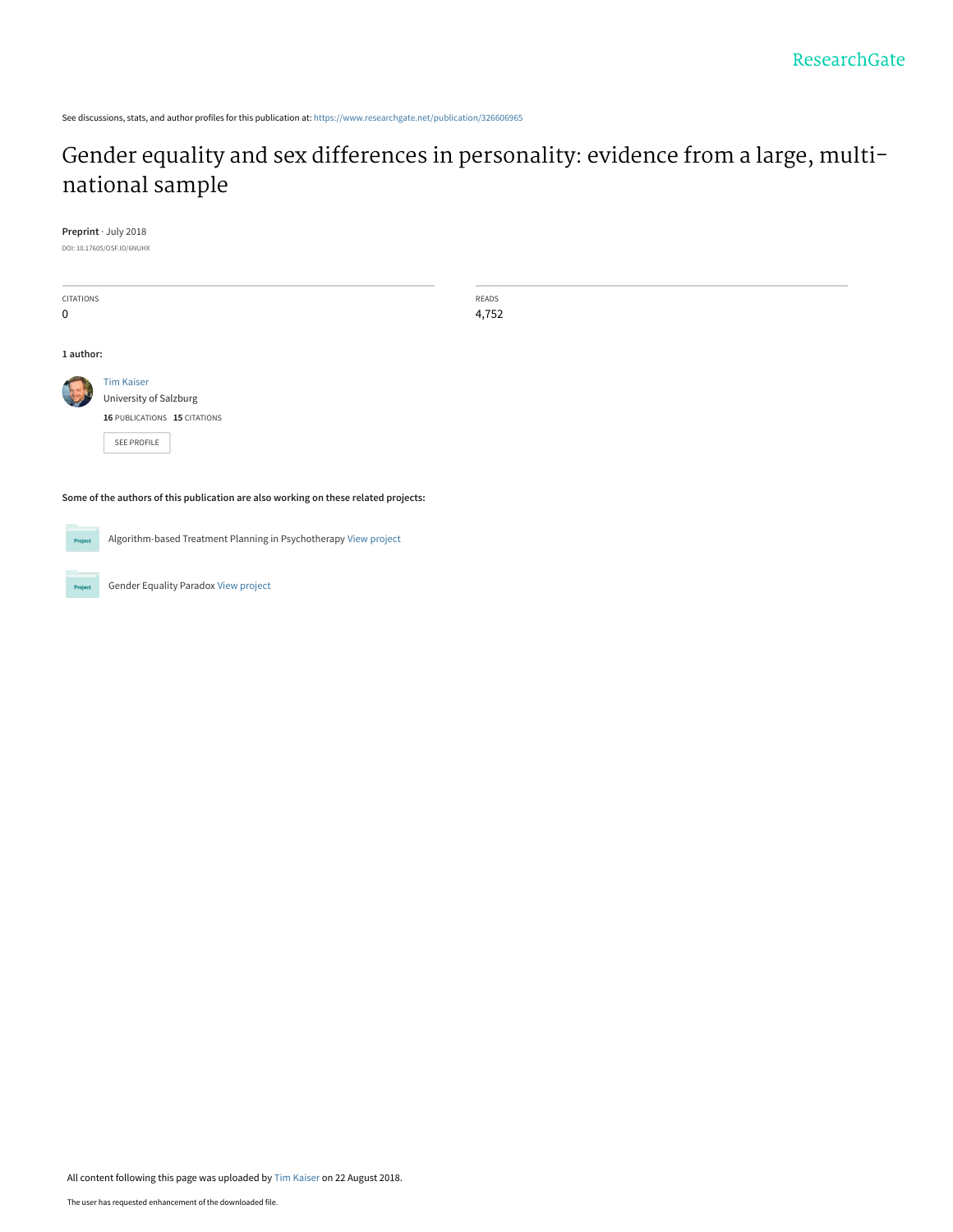See discussions, stats, and author profiles for this publication at: [https://www.researchgate.net/publication/326606965](https://www.researchgate.net/publication/326606965_Gender_equality_and_sex_differences_in_personality_evidence_from_a_large_multi-national_sample?enrichId=rgreq-94a912b36653af9a749624d717d15d5f-XXX&enrichSource=Y292ZXJQYWdlOzMyNjYwNjk2NTtBUzo2NjI0MzQ5MzEwMTU2ODFAMTUzNDk0ODIwMzM3Ng%3D%3D&el=1_x_2&_esc=publicationCoverPdf)

# [Gender equality and sex differences in personality: evidence from a large, multi](https://www.researchgate.net/publication/326606965_Gender_equality_and_sex_differences_in_personality_evidence_from_a_large_multi-national_sample?enrichId=rgreq-94a912b36653af9a749624d717d15d5f-XXX&enrichSource=Y292ZXJQYWdlOzMyNjYwNjk2NTtBUzo2NjI0MzQ5MzEwMTU2ODFAMTUzNDk0ODIwMzM3Ng%3D%3D&el=1_x_3&_esc=publicationCoverPdf)national sample

**Preprint** · July 2018

DOI: 10.17605/OSF.IO/6NUHX

| <b>CITATIONS</b>                                                                    |                                                                  | READS |  |  |
|-------------------------------------------------------------------------------------|------------------------------------------------------------------|-------|--|--|
| $\mathbf 0$                                                                         |                                                                  | 4,752 |  |  |
|                                                                                     |                                                                  |       |  |  |
| 1 author:                                                                           |                                                                  |       |  |  |
|                                                                                     | <b>Tim Kaiser</b>                                                |       |  |  |
|                                                                                     | University of Salzburg                                           |       |  |  |
|                                                                                     | 16 PUBLICATIONS 15 CITATIONS                                     |       |  |  |
|                                                                                     | SEE PROFILE                                                      |       |  |  |
|                                                                                     |                                                                  |       |  |  |
|                                                                                     |                                                                  |       |  |  |
| Some of the authors of this publication are also working on these related projects: |                                                                  |       |  |  |
|                                                                                     |                                                                  |       |  |  |
| Project                                                                             | Algorithm-based Treatment Planning in Psychotherapy View project |       |  |  |
|                                                                                     |                                                                  |       |  |  |
|                                                                                     |                                                                  |       |  |  |
| Project                                                                             | <b>Gender Equality Paradox View project</b>                      |       |  |  |

All content following this page was uploaded by [Tim Kaiser](https://www.researchgate.net/profile/Tim_Kaiser?enrichId=rgreq-94a912b36653af9a749624d717d15d5f-XXX&enrichSource=Y292ZXJQYWdlOzMyNjYwNjk2NTtBUzo2NjI0MzQ5MzEwMTU2ODFAMTUzNDk0ODIwMzM3Ng%3D%3D&el=1_x_10&_esc=publicationCoverPdf) on 22 August 2018.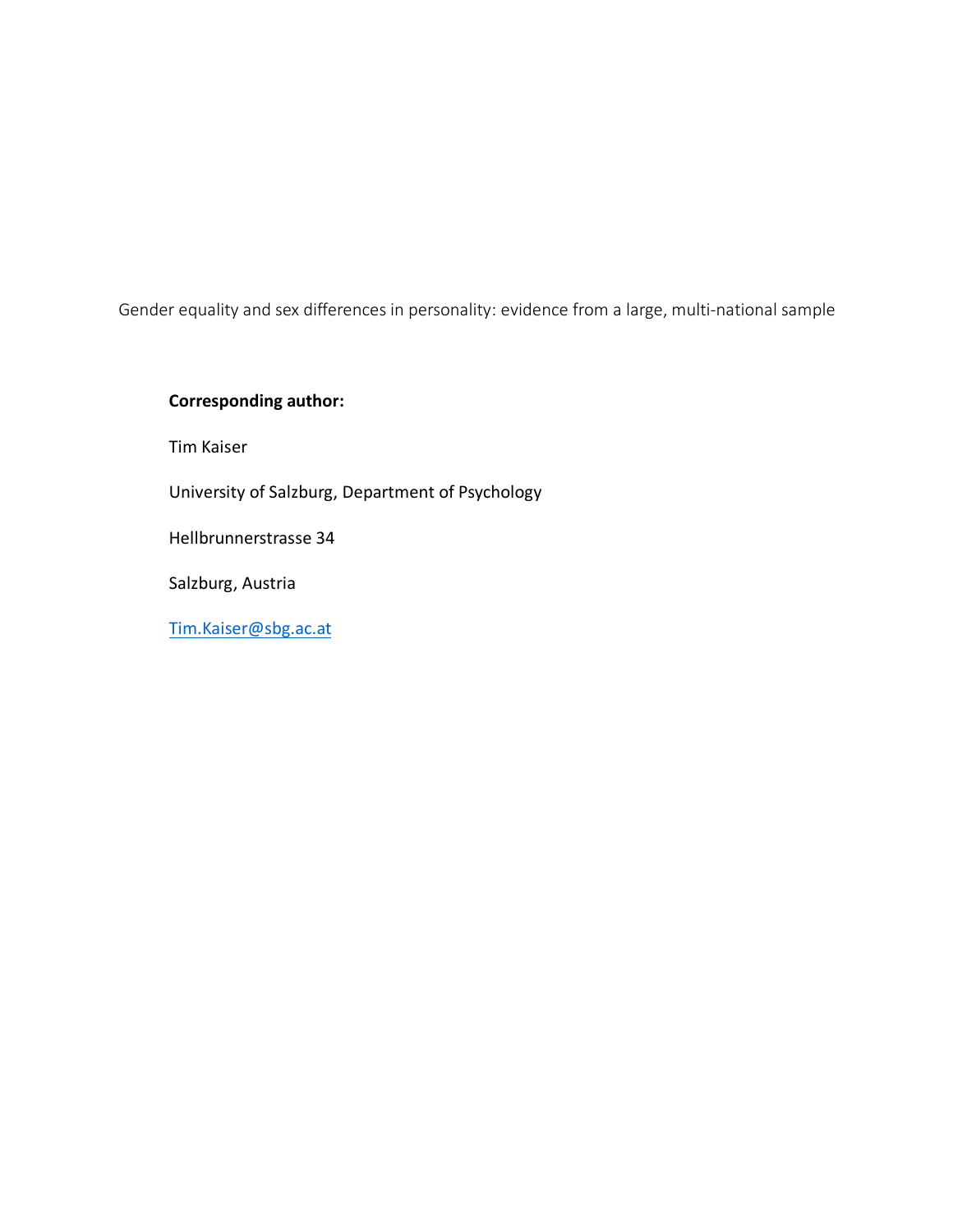Gender equality and sex differences in personality: evidence from a large, multi-national sample

# **Corresponding author:**

Tim Kaiser

University of Salzburg, Department of Psychology

Hellbrunnerstrasse 34

Salzburg, Austria

Tim.Kaiser@sbg.ac.at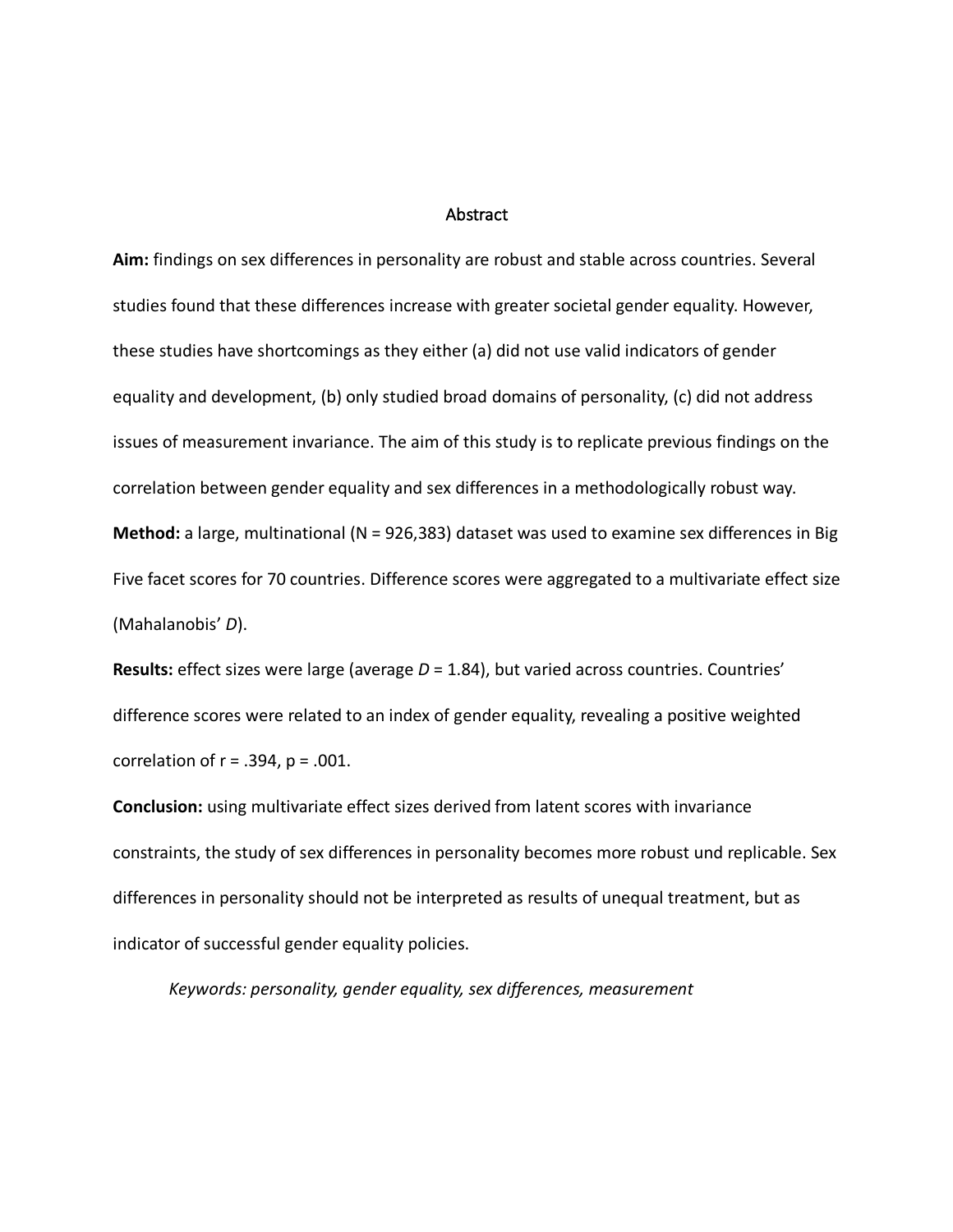# **Abstract**

**Aim:** findings on sex differences in personality are robust and stable across countries. Several studies found that these differences increase with greater societal gender equality. However, these studies have shortcomings as they either (a) did not use valid indicators of gender equality and development, (b) only studied broad domains of personality, (c) did not address issues of measurement invariance. The aim of this study is to replicate previous findings on the correlation between gender equality and sex differences in a methodologically robust way. **Method:** a large, multinational (N = 926,383) dataset was used to examine sex differences in Big Five facet scores for 70 countries. Difference scores were aggregated to a multivariate effect size (Mahalanobis' *D*).

**Results:** effect sizes were large (average *D* = 1.84), but varied across countries. Countries' difference scores were related to an index of gender equality, revealing a positive weighted correlation of  $r = .394$ ,  $p = .001$ .

**Conclusion:** using multivariate effect sizes derived from latent scores with invariance constraints, the study of sex differences in personality becomes more robust und replicable. Sex differences in personality should not be interpreted as results of unequal treatment, but as indicator of successful gender equality policies.

*Keywords: personality, gender equality, sex differences, measurement*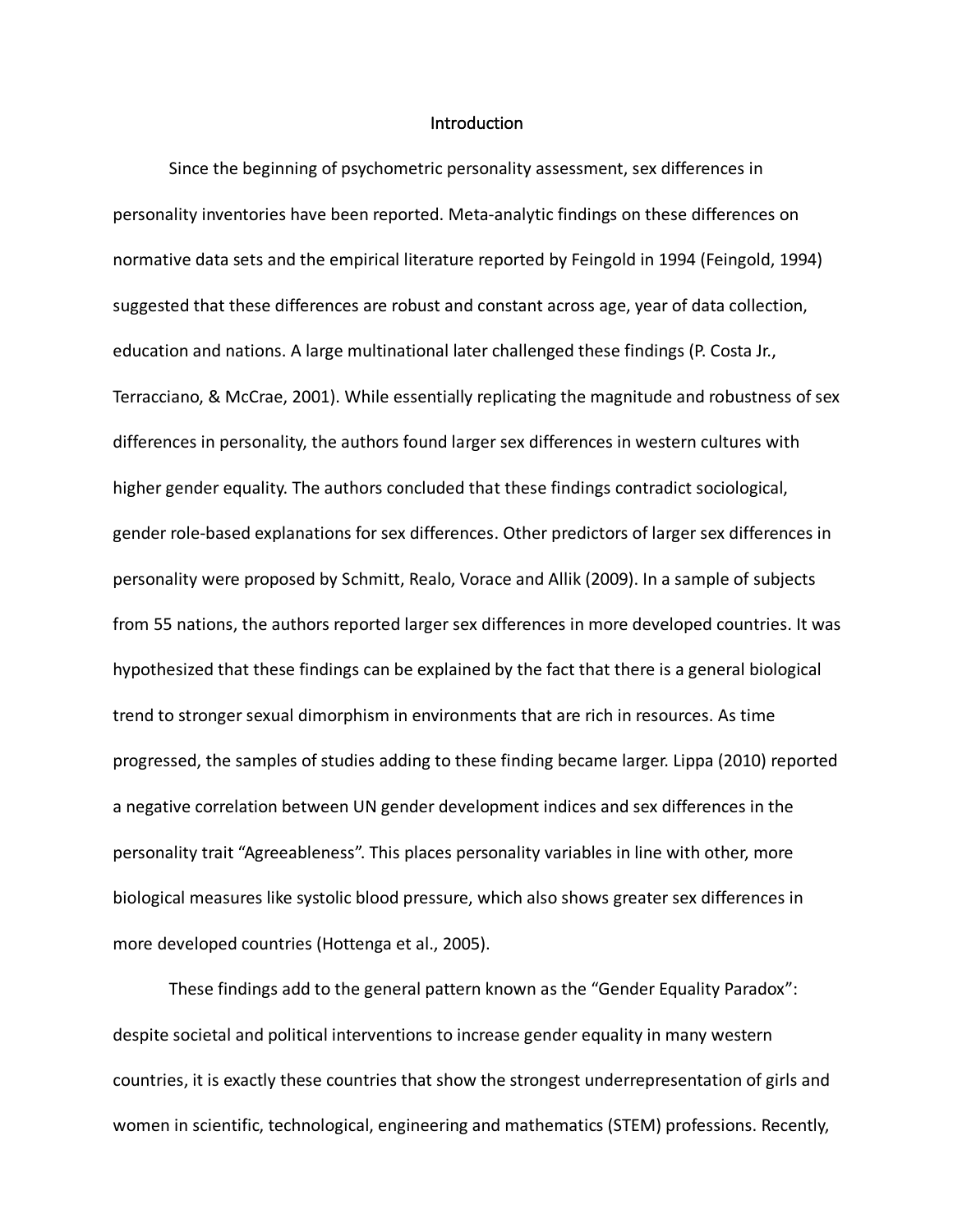### **Introduction**

Since the beginning of psychometric personality assessment, sex differences in personality inventories have been reported. Meta-analytic findings on these differences on normative data sets and the empirical literature reported by Feingold in 1994 (Feingold, 1994) suggested that these differences are robust and constant across age, year of data collection, education and nations. A large multinational later challenged these findings (P. Costa Jr., Terracciano, & McCrae, 2001). While essentially replicating the magnitude and robustness of sex differences in personality, the authors found larger sex differences in western cultures with higher gender equality. The authors concluded that these findings contradict sociological, gender role-based explanations for sex differences. Other predictors of larger sex differences in personality were proposed by Schmitt, Realo, Vorace and Allik (2009). In a sample of subjects from 55 nations, the authors reported larger sex differences in more developed countries. It was hypothesized that these findings can be explained by the fact that there is a general biological trend to stronger sexual dimorphism in environments that are rich in resources. As time progressed, the samples of studies adding to these finding became larger. Lippa (2010) reported a negative correlation between UN gender development indices and sex differences in the personality trait "Agreeableness". This places personality variables in line with other, more biological measures like systolic blood pressure, which also shows greater sex differences in more developed countries (Hottenga et al., 2005).

These findings add to the general pattern known as the "Gender Equality Paradox": despite societal and political interventions to increase gender equality in many western countries, it is exactly these countries that show the strongest underrepresentation of girls and women in scientific, technological, engineering and mathematics (STEM) professions. Recently,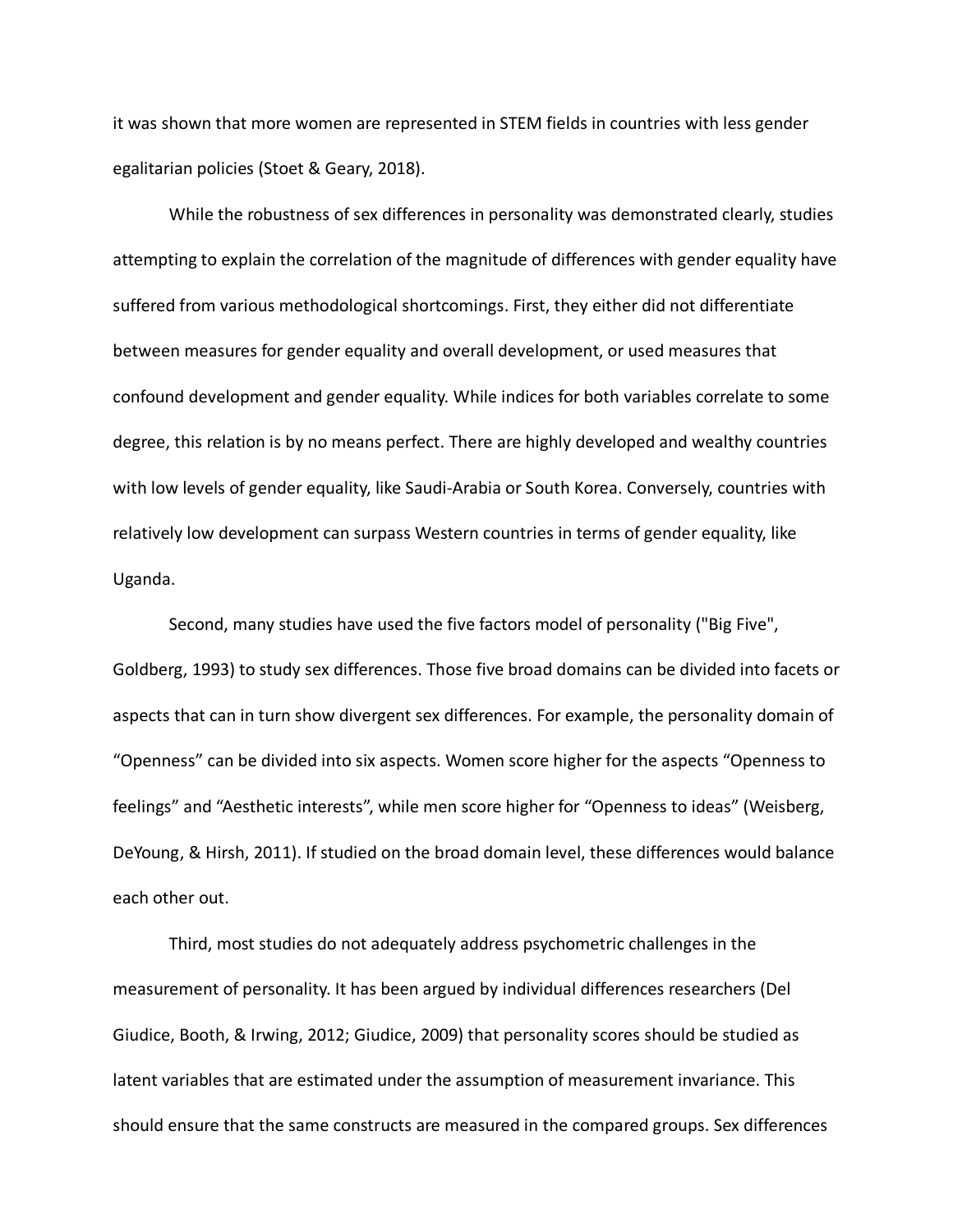it was shown that more women are represented in STEM fields in countries with less gender egalitarian policies (Stoet & Geary, 2018).

While the robustness of sex differences in personality was demonstrated clearly, studies attempting to explain the correlation of the magnitude of differences with gender equality have suffered from various methodological shortcomings. First, they either did not differentiate between measures for gender equality and overall development, or used measures that confound development and gender equality. While indices for both variables correlate to some degree, this relation is by no means perfect. There are highly developed and wealthy countries with low levels of gender equality, like Saudi-Arabia or South Korea. Conversely, countries with relatively low development can surpass Western countries in terms of gender equality, like Uganda.

Second, many studies have used the five factors model of personality ("Big Five", Goldberg, 1993) to study sex differences. Those five broad domains can be divided into facets or aspects that can in turn show divergent sex differences. For example, the personality domain of "Openness" can be divided into six aspects. Women score higher for the aspects "Openness to feelings" and "Aesthetic interests", while men score higher for "Openness to ideas" (Weisberg, DeYoung, & Hirsh, 2011). If studied on the broad domain level, these differences would balance each other out.

Third, most studies do not adequately address psychometric challenges in the measurement of personality. It has been argued by individual differences researchers (Del Giudice, Booth, & Irwing, 2012; Giudice, 2009) that personality scores should be studied as latent variables that are estimated under the assumption of measurement invariance. This should ensure that the same constructs are measured in the compared groups. Sex differences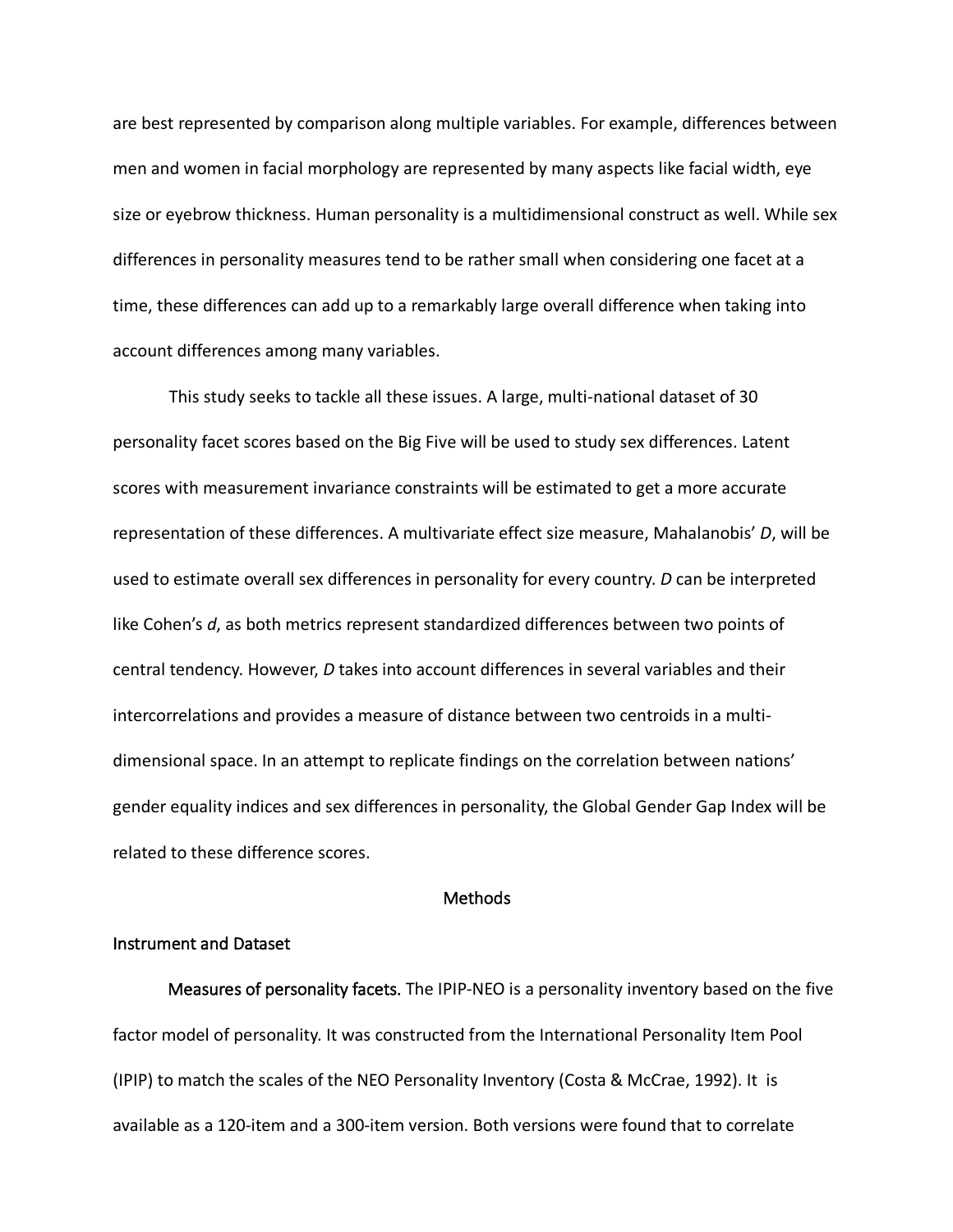are best represented by comparison along multiple variables. For example, differences between men and women in facial morphology are represented by many aspects like facial width, eye size or eyebrow thickness. Human personality is a multidimensional construct as well. While sex differences in personality measures tend to be rather small when considering one facet at a time, these differences can add up to a remarkably large overall difference when taking into account differences among many variables.

This study seeks to tackle all these issues. A large, multi-national dataset of 30 personality facet scores based on the Big Five will be used to study sex differences. Latent scores with measurement invariance constraints will be estimated to get a more accurate representation of these differences. A multivariate effect size measure, Mahalanobis' *D*, will be used to estimate overall sex differences in personality for every country. *D* can be interpreted like Cohen's *d*, as both metrics represent standardized differences between two points of central tendency. However, *D* takes into account differences in several variables and their intercorrelations and provides a measure of distance between two centroids in a multidimensional space. In an attempt to replicate findings on the correlation between nations' gender equality indices and sex differences in personality, the Global Gender Gap Index will be related to these difference scores.

# Methods

# Instrument and Dataset

Measures of personality facets. The IPIP-NEO is a personality inventory based on the five factor model of personality. It was constructed from the International Personality Item Pool (IPIP) to match the scales of the NEO Personality Inventory (Costa & McCrae, 1992). It is available as a 120-item and a 300-item version. Both versions were found that to correlate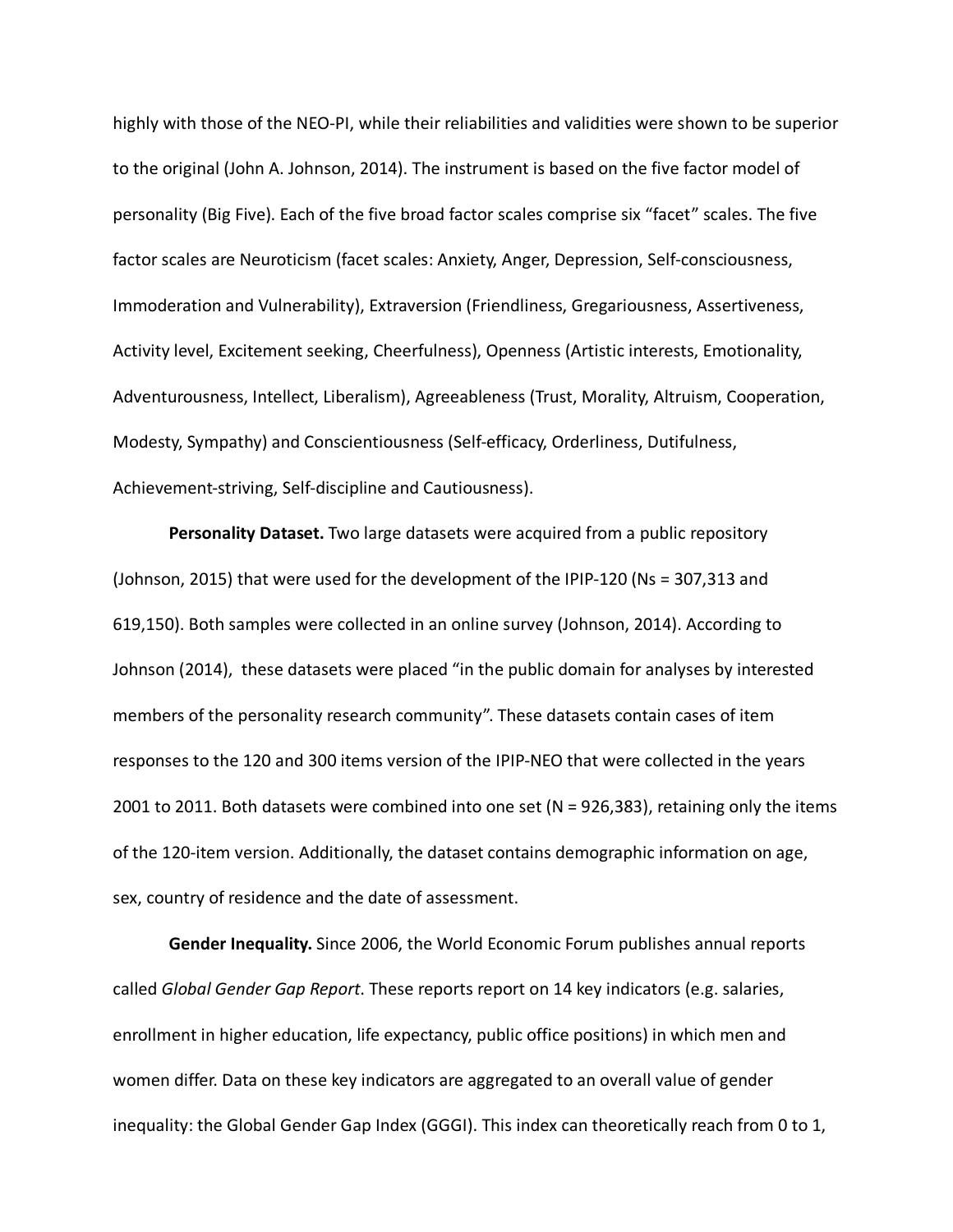highly with those of the NEO-PI, while their reliabilities and validities were shown to be superior to the original (John A. Johnson, 2014). The instrument is based on the five factor model of personality (Big Five). Each of the five broad factor scales comprise six "facet" scales. The five factor scales are Neuroticism (facet scales: Anxiety, Anger, Depression, Self-consciousness, Immoderation and Vulnerability), Extraversion (Friendliness, Gregariousness, Assertiveness, Activity level, Excitement seeking, Cheerfulness), Openness (Artistic interests, Emotionality, Adventurousness, Intellect, Liberalism), Agreeableness (Trust, Morality, Altruism, Cooperation, Modesty, Sympathy) and Conscientiousness (Self-efficacy, Orderliness, Dutifulness, Achievement-striving, Self-discipline and Cautiousness).

**Personality Dataset.** Two large datasets were acquired from a public repository (Johnson, 2015) that were used for the development of the IPIP-120 (Ns = 307,313 and 619,150). Both samples were collected in an online survey (Johnson, 2014). According to Johnson (2014), these datasets were placed "in the public domain for analyses by interested members of the personality research community". These datasets contain cases of item responses to the 120 and 300 items version of the IPIP-NEO that were collected in the years 2001 to 2011. Both datasets were combined into one set (N = 926,383), retaining only the items of the 120-item version. Additionally, the dataset contains demographic information on age, sex, country of residence and the date of assessment.

**Gender Inequality.** Since 2006, the World Economic Forum publishes annual reports called *Global Gender Gap Report*. These reports report on 14 key indicators (e.g. salaries, enrollment in higher education, life expectancy, public office positions) in which men and women differ. Data on these key indicators are aggregated to an overall value of gender inequality: the Global Gender Gap Index (GGGI). This index can theoretically reach from 0 to 1,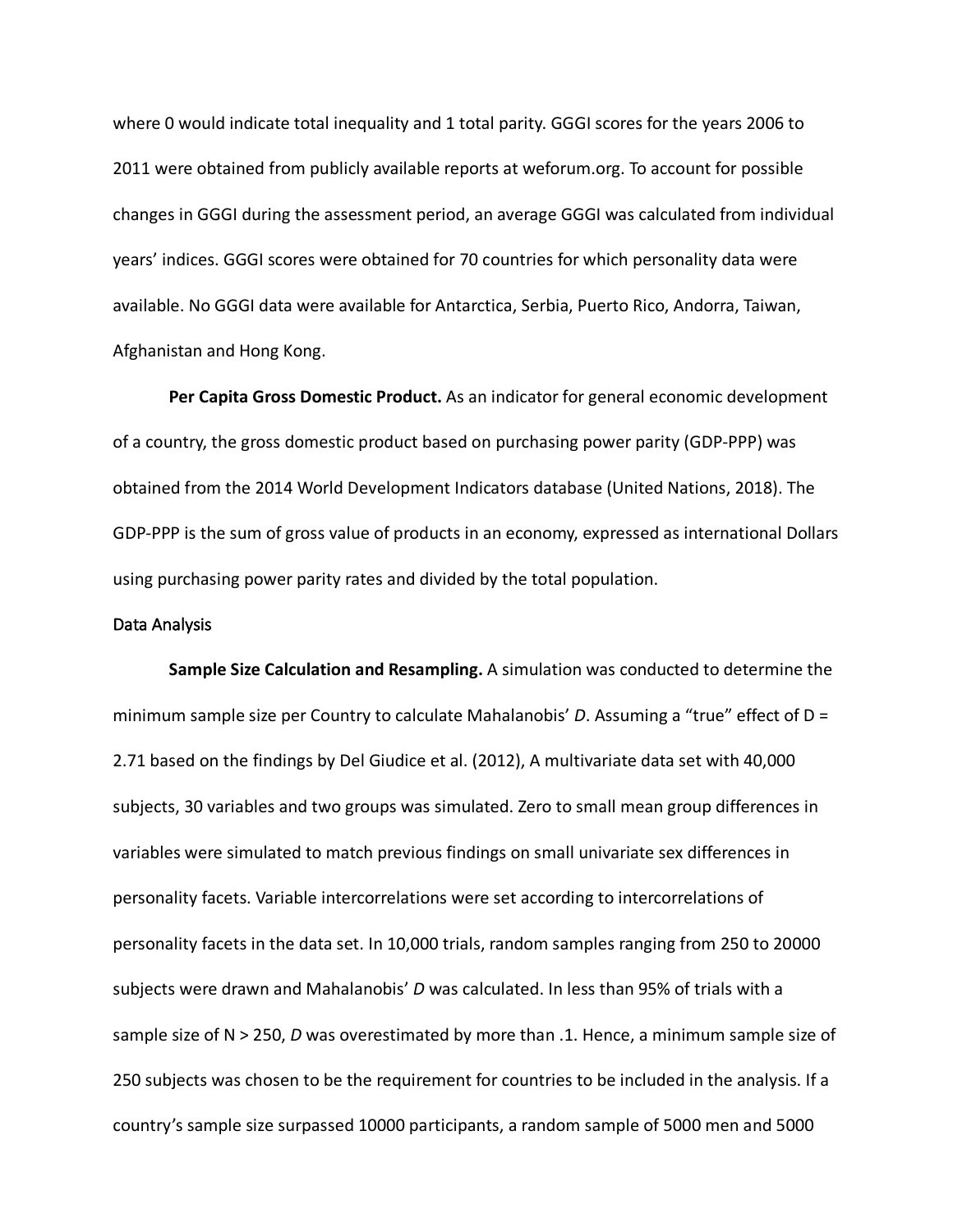where 0 would indicate total inequality and 1 total parity. GGGI scores for the years 2006 to 2011 were obtained from publicly available reports at weforum.org. To account for possible changes in GGGI during the assessment period, an average GGGI was calculated from individual years' indices. GGGI scores were obtained for 70 countries for which personality data were available. No GGGI data were available for Antarctica, Serbia, Puerto Rico, Andorra, Taiwan, Afghanistan and Hong Kong.

**Per Capita Gross Domestic Product.** As an indicator for general economic development of a country, the gross domestic product based on purchasing power parity (GDP-PPP) was obtained from the 2014 World Development Indicators database (United Nations, 2018). The GDP-PPP is the sum of gross value of products in an economy, expressed as international Dollars using purchasing power parity rates and divided by the total population.

# Data Analysis

**Sample Size Calculation and Resampling.** A simulation was conducted to determine the minimum sample size per Country to calculate Mahalanobis' *D*. Assuming a "true" effect of D = 2.71 based on the findings by Del Giudice et al. (2012), A multivariate data set with 40,000 subjects, 30 variables and two groups was simulated. Zero to small mean group differences in variables were simulated to match previous findings on small univariate sex differences in personality facets. Variable intercorrelations were set according to intercorrelations of personality facets in the data set. In 10,000 trials, random samples ranging from 250 to 20000 subjects were drawn and Mahalanobis' *D* was calculated. In less than 95% of trials with a sample size of N > 250, *D* was overestimated by more than .1. Hence, a minimum sample size of 250 subjects was chosen to be the requirement for countries to be included in the analysis. If a country's sample size surpassed 10000 participants, a random sample of 5000 men and 5000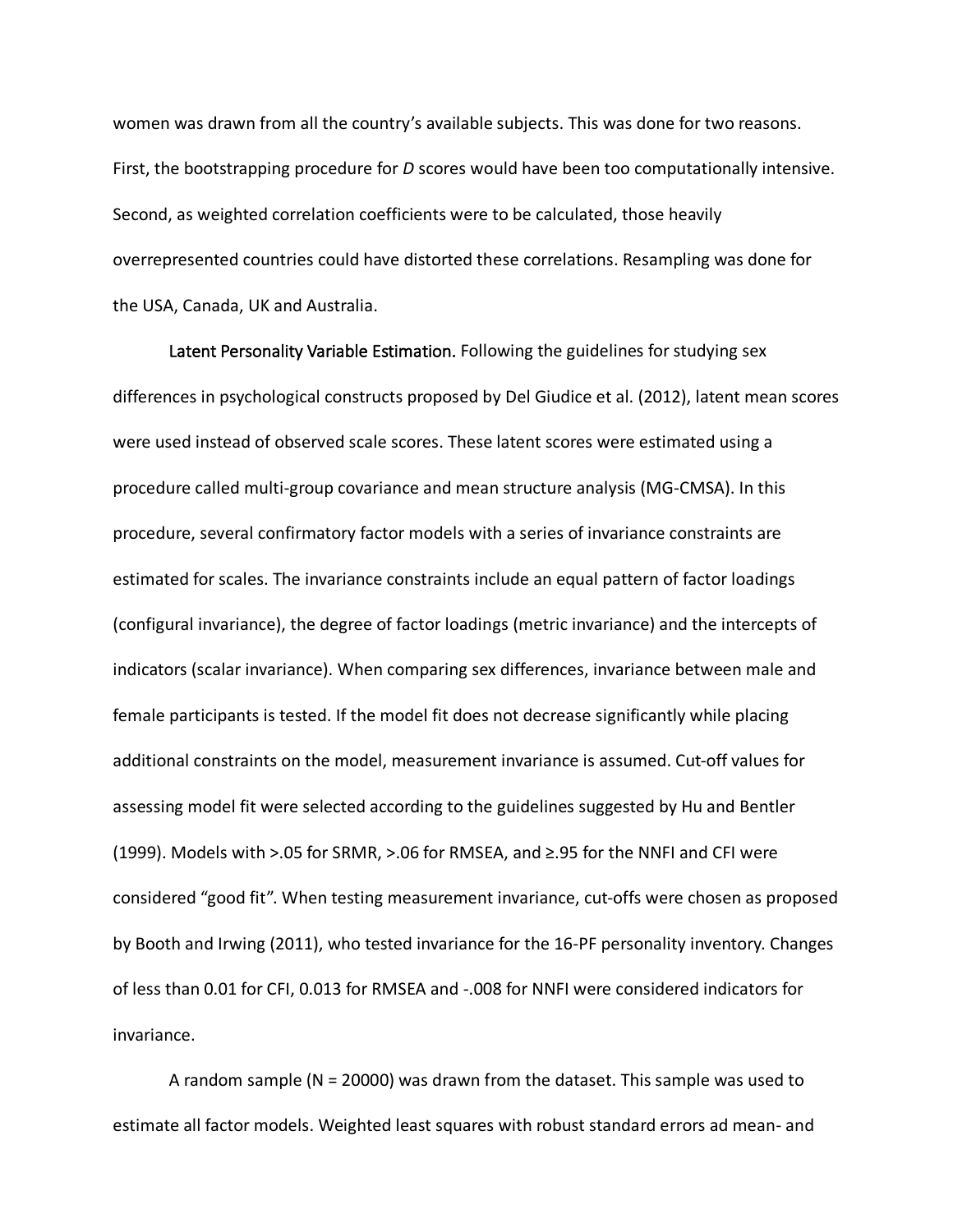women was drawn from all the country's available subjects. This was done for two reasons. First, the bootstrapping procedure for *D* scores would have been too computationally intensive. Second, as weighted correlation coefficients were to be calculated, those heavily overrepresented countries could have distorted these correlations. Resampling was done for the USA, Canada, UK and Australia.

Latent Personality Variable Estimation. Following the guidelines for studying sex differences in psychological constructs proposed by Del Giudice et al. (2012), latent mean scores were used instead of observed scale scores. These latent scores were estimated using a procedure called multi-group covariance and mean structure analysis (MG-CMSA). In this procedure, several confirmatory factor models with a series of invariance constraints are estimated for scales. The invariance constraints include an equal pattern of factor loadings (configural invariance), the degree of factor loadings (metric invariance) and the intercepts of indicators (scalar invariance). When comparing sex differences, invariance between male and female participants is tested. If the model fit does not decrease significantly while placing additional constraints on the model, measurement invariance is assumed. Cut-off values for assessing model fit were selected according to the guidelines suggested by Hu and Bentler (1999). Models with >.05 for SRMR, >.06 for RMSEA, and ≥.95 for the NNFI and CFI were considered "good fit". When testing measurement invariance, cut-offs were chosen as proposed by Booth and Irwing (2011), who tested invariance for the 16-PF personality inventory. Changes of less than 0.01 for CFI, 0.013 for RMSEA and -.008 for NNFI were considered indicators for invariance.

A random sample (N = 20000) was drawn from the dataset. This sample was used to estimate all factor models. Weighted least squares with robust standard errors ad mean- and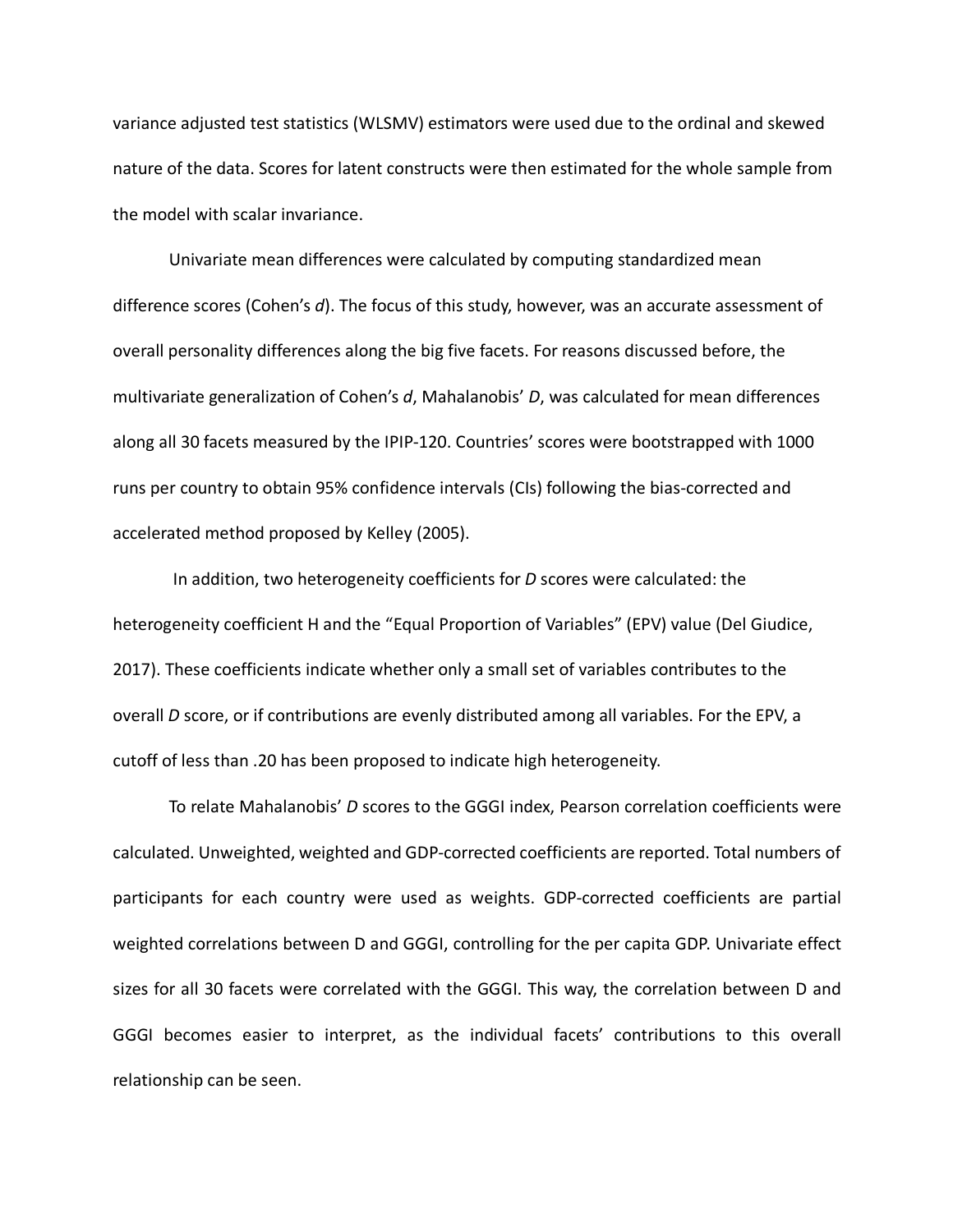variance adjusted test statistics (WLSMV) estimators were used due to the ordinal and skewed nature of the data. Scores for latent constructs were then estimated for the whole sample from the model with scalar invariance.

Univariate mean differences were calculated by computing standardized mean difference scores (Cohen's *d*). The focus of this study, however, was an accurate assessment of overall personality differences along the big five facets. For reasons discussed before, the multivariate generalization of Cohen's *d*, Mahalanobis' *D*, was calculated for mean differences along all 30 facets measured by the IPIP-120. Countries' scores were bootstrapped with 1000 runs per country to obtain 95% confidence intervals (CIs) following the bias-corrected and accelerated method proposed by Kelley (2005).

In addition, two heterogeneity coefficients for *D* scores were calculated: the heterogeneity coefficient H and the "Equal Proportion of Variables" (EPV) value (Del Giudice, 2017). These coefficients indicate whether only a small set of variables contributes to the overall *D* score, or if contributions are evenly distributed among all variables. For the EPV, a cutoff of less than .20 has been proposed to indicate high heterogeneity.

To relate Mahalanobis' *D* scores to the GGGI index, Pearson correlation coefficients were calculated. Unweighted, weighted and GDP-corrected coefficients are reported. Total numbers of participants for each country were used as weights. GDP-corrected coefficients are partial weighted correlations between D and GGGI, controlling for the per capita GDP. Univariate effect sizes for all 30 facets were correlated with the GGGI. This way, the correlation between D and GGGI becomes easier to interpret, as the individual facets' contributions to this overall relationship can be seen.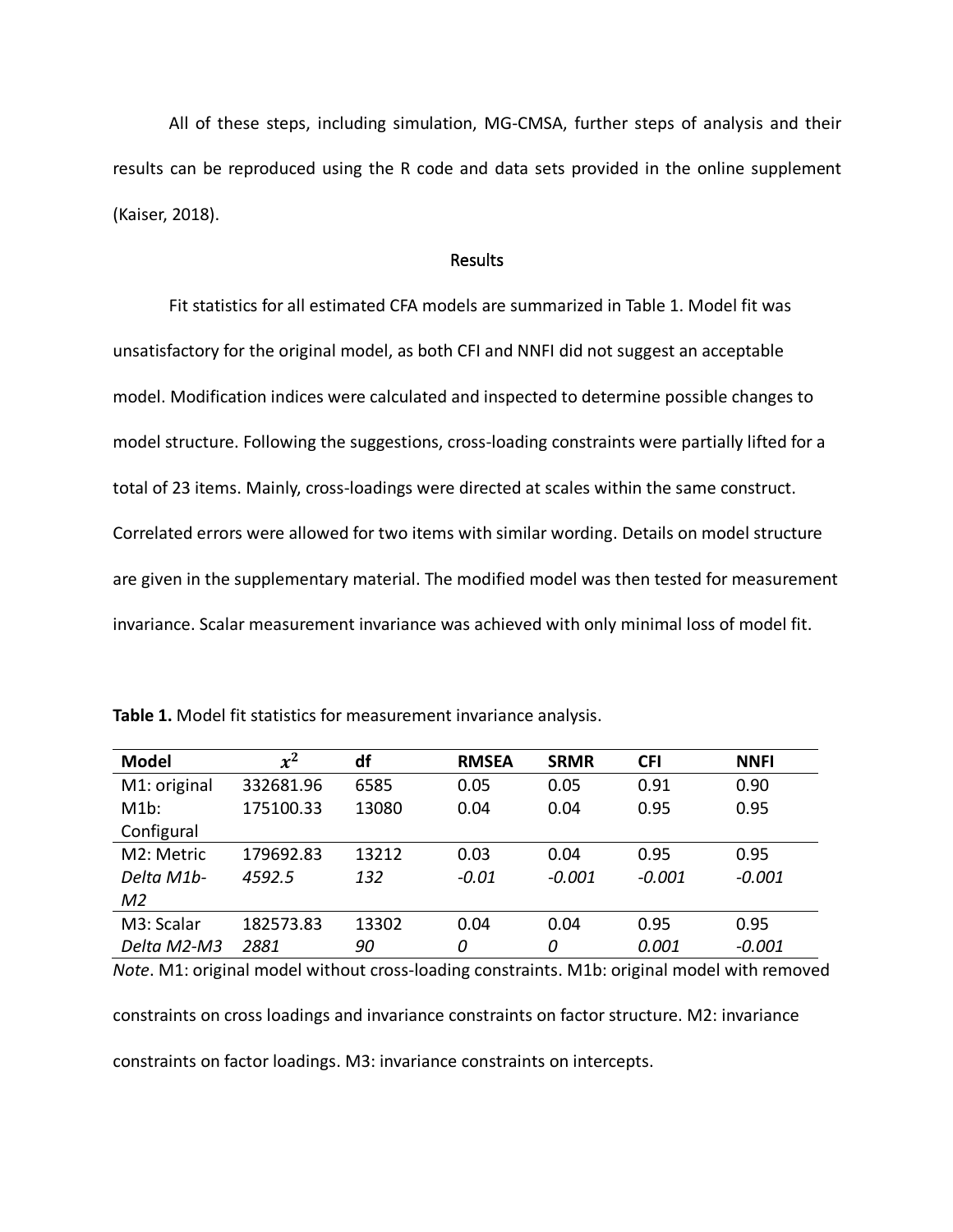All of these steps, including simulation, MG-CMSA, further steps of analysis and their results can be reproduced using the R code and data sets provided in the online supplement (Kaiser, 2018).

# Results

Fit statistics for all estimated CFA models are summarized in Table 1. Model fit was unsatisfactory for the original model, as both CFI and NNFI did not suggest an acceptable model. Modification indices were calculated and inspected to determine possible changes to model structure. Following the suggestions, cross-loading constraints were partially lifted for a total of 23 items. Mainly, cross-loadings were directed at scales within the same construct. Correlated errors were allowed for two items with similar wording. Details on model structure are given in the supplementary material. The modified model was then tested for measurement invariance. Scalar measurement invariance was achieved with only minimal loss of model fit.

| <b>Model</b> | $x^2$     | df    | <b>RMSEA</b> | <b>SRMR</b> | <b>CFI</b> | <b>NNFI</b> |
|--------------|-----------|-------|--------------|-------------|------------|-------------|
| M1: original | 332681.96 | 6585  | 0.05         | 0.05        | 0.91       | 0.90        |
| M1b:         | 175100.33 | 13080 | 0.04         | 0.04        | 0.95       | 0.95        |
| Configural   |           |       |              |             |            |             |
| M2: Metric   | 179692.83 | 13212 | 0.03         | 0.04        | 0.95       | 0.95        |
| Delta M1b-   | 4592.5    | 132   | $-0.01$      | $-0.001$    | $-0.001$   | $-0.001$    |
| M2           |           |       |              |             |            |             |
| M3: Scalar   | 182573.83 | 13302 | 0.04         | 0.04        | 0.95       | 0.95        |
| Delta M2-M3  | 2881      | 90    | 0            | 0           | 0.001      | $-0.001$    |

**Table 1.** Model fit statistics for measurement invariance analysis.

*Note*. M1: original model without cross-loading constraints. M1b: original model with removed

constraints on cross loadings and invariance constraints on factor structure. M2: invariance

constraints on factor loadings. M3: invariance constraints on intercepts.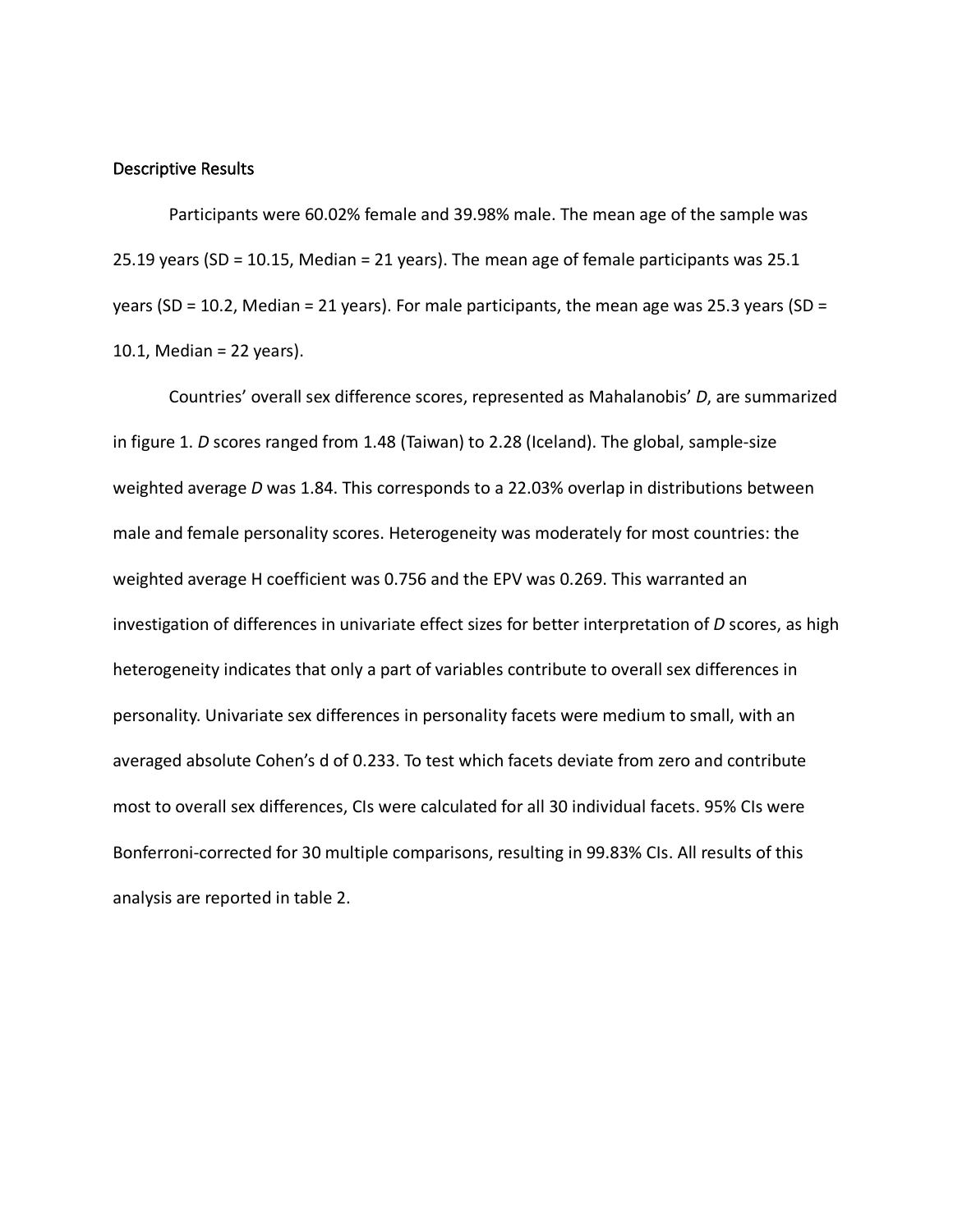# Descriptive Results

Participants were 60.02% female and 39.98% male. The mean age of the sample was 25.19 years (SD = 10.15, Median = 21 years). The mean age of female participants was 25.1 years (SD = 10.2, Median = 21 years). For male participants, the mean age was 25.3 years (SD = 10.1, Median = 22 years).

Countries' overall sex difference scores, represented as Mahalanobis' *D*, are summarized in figure 1. *D* scores ranged from 1.48 (Taiwan) to 2.28 (Iceland). The global, sample-size weighted average *D* was 1.84. This corresponds to a 22.03% overlap in distributions between male and female personality scores. Heterogeneity was moderately for most countries: the weighted average H coefficient was 0.756 and the EPV was 0.269. This warranted an investigation of differences in univariate effect sizes for better interpretation of *D* scores, as high heterogeneity indicates that only a part of variables contribute to overall sex differences in personality. Univariate sex differences in personality facets were medium to small, with an averaged absolute Cohen's d of 0.233. To test which facets deviate from zero and contribute most to overall sex differences, CIs were calculated for all 30 individual facets. 95% CIs were Bonferroni-corrected for 30 multiple comparisons, resulting in 99.83% CIs. All results of this analysis are reported in table 2.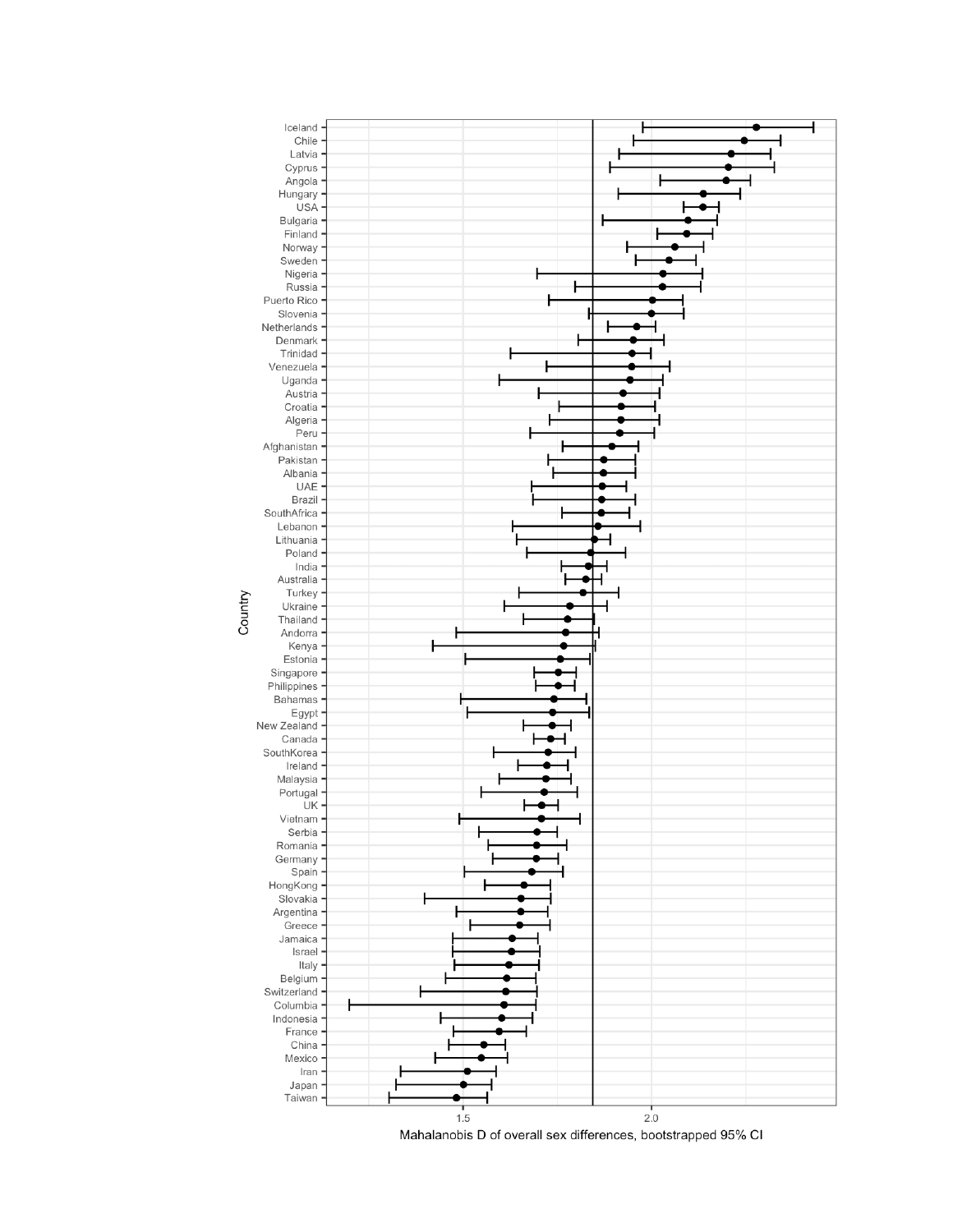

Mahalanobis D of overall sex differences, bootstrapped 95% CI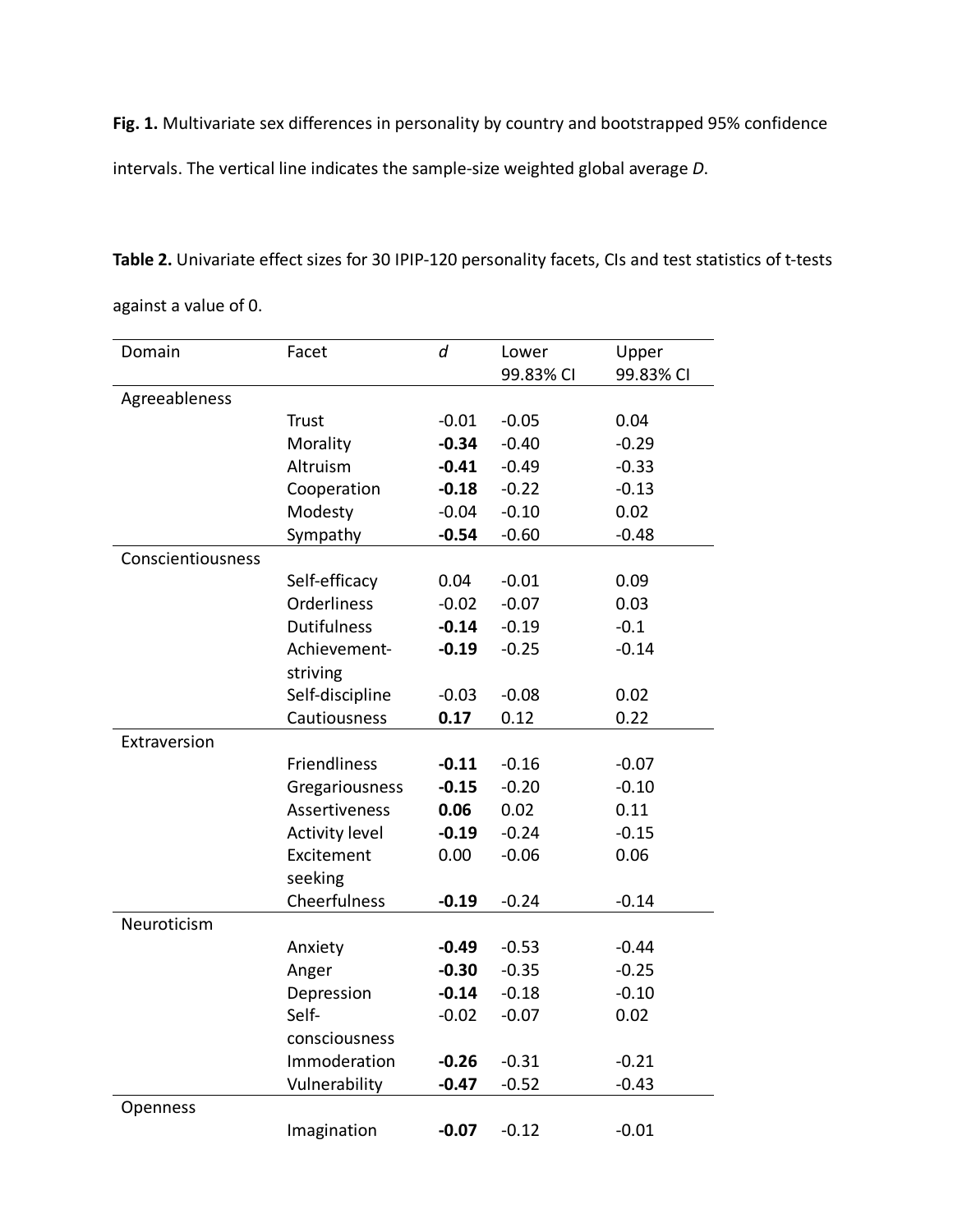**Fig. 1.** Multivariate sex differences in personality by country and bootstrapped 95% confidence intervals. The vertical line indicates the sample-size weighted global average *D*.

**Table 2.** Univariate effect sizes for 30 IPIP-120 personality facets, CIs and test statistics of t-tests against a value of 0.

| Domain            | Facet                 | d       | Lower     | Upper     |
|-------------------|-----------------------|---------|-----------|-----------|
|                   |                       |         | 99.83% CI | 99.83% CI |
| Agreeableness     |                       |         |           |           |
|                   | <b>Trust</b>          | $-0.01$ | $-0.05$   | 0.04      |
|                   | Morality              | $-0.34$ | $-0.40$   | $-0.29$   |
|                   | Altruism              | $-0.41$ | $-0.49$   | $-0.33$   |
|                   | Cooperation           | $-0.18$ | $-0.22$   | $-0.13$   |
|                   | Modesty               | $-0.04$ | $-0.10$   | 0.02      |
|                   | Sympathy              | $-0.54$ | $-0.60$   | $-0.48$   |
| Conscientiousness |                       |         |           |           |
|                   | Self-efficacy         | 0.04    | $-0.01$   | 0.09      |
|                   | Orderliness           | $-0.02$ | $-0.07$   | 0.03      |
|                   | <b>Dutifulness</b>    | $-0.14$ | $-0.19$   | $-0.1$    |
|                   | Achievement-          | $-0.19$ | $-0.25$   | $-0.14$   |
|                   | striving              |         |           |           |
|                   | Self-discipline       | $-0.03$ | $-0.08$   | 0.02      |
|                   | Cautiousness          | 0.17    | 0.12      | 0.22      |
| Extraversion      |                       |         |           |           |
|                   | Friendliness          | $-0.11$ | $-0.16$   | $-0.07$   |
|                   | Gregariousness        | $-0.15$ | $-0.20$   | $-0.10$   |
|                   | Assertiveness         | 0.06    | 0.02      | 0.11      |
|                   | <b>Activity level</b> | $-0.19$ | $-0.24$   | $-0.15$   |
|                   | Excitement            | 0.00    | $-0.06$   | 0.06      |
|                   | seeking               |         |           |           |
|                   | Cheerfulness          | $-0.19$ | $-0.24$   | $-0.14$   |
| Neuroticism       |                       |         |           |           |
|                   | Anxiety               | $-0.49$ | $-0.53$   | $-0.44$   |
|                   | Anger                 | $-0.30$ | $-0.35$   | $-0.25$   |
|                   | Depression            | $-0.14$ | $-0.18$   | $-0.10$   |
|                   | Self-                 | $-0.02$ | $-0.07$   | 0.02      |
|                   | consciousness         |         |           |           |
|                   | Immoderation          | $-0.26$ | $-0.31$   | $-0.21$   |
|                   | Vulnerability         | $-0.47$ | $-0.52$   | $-0.43$   |
| Openness          |                       |         |           |           |
|                   | Imagination           | $-0.07$ | $-0.12$   | $-0.01$   |
|                   |                       |         |           |           |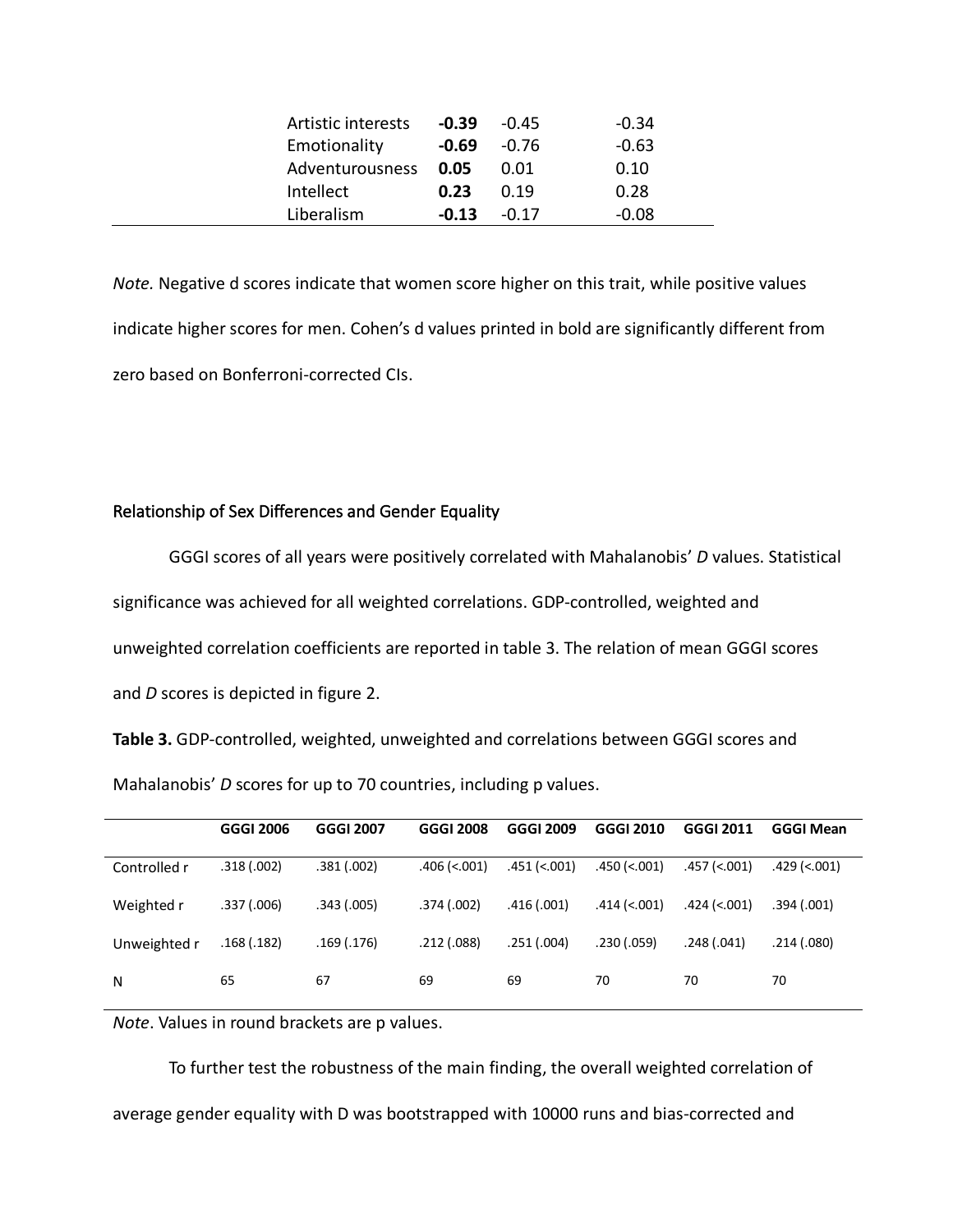| Artistic interests | -0.39   | $-0.45$ | $-0.34$ |
|--------------------|---------|---------|---------|
| Emotionality       | $-0.69$ | -0.76   | $-0.63$ |
| Adventurousness    | 0.05    | 0.01    | 0.10    |
| Intellect          | 0.23    | 0.19    | 0.28    |
| Liberalism         | $-0.13$ | $-0.17$ | $-0.08$ |

*Note.* Negative d scores indicate that women score higher on this trait, while positive values indicate higher scores for men. Cohen's d values printed in bold are significantly different from zero based on Bonferroni-corrected CIs.

# Relationship of Sex Differences and Gender Equality

GGGI scores of all years were positively correlated with Mahalanobis' *D* values. Statistical significance was achieved for all weighted correlations. GDP-controlled, weighted and unweighted correlation coefficients are reported in table 3. The relation of mean GGGI scores and *D* scores is depicted in figure 2.

**Table 3.** GDP-controlled, weighted, unweighted and correlations between GGGI scores and Mahalanobis' *D* scores for up to 70 countries, including p values.

|              | <b>GGGI 2006</b> | <b>GGGI 2007</b> | <b>GGGI 2008</b>  | GGGI 2009      | GGGI 2010      | <b>GGGI 2011</b> | <b>GGGI Mean</b> |
|--------------|------------------|------------------|-------------------|----------------|----------------|------------------|------------------|
| Controlled r | .318(.002)       | .381(.002)       | $.406 \,(< .001)$ | $.451$ (<.001) | $.450$ (<.001) | $.457$ (<.001)   | .429 (<.001)     |
| Weighted r   | .337(.006)       | .343(.005)       | .374 (.002)       | .416(.001)     | .414 (<.001)   | .424 (<.001)     | .394 (.001)      |
| Unweighted r | .168(.182)       | .169(.176)       | .212(.088)        | .251(.004)     | .230(.059)     | .248 (.041)      | .214 (.080)      |
| N            | 65               | 67               | 69                | 69             | 70             | 70               | 70               |

*Note*. Values in round brackets are p values.

To further test the robustness of the main finding, the overall weighted correlation of average gender equality with D was bootstrapped with 10000 runs and bias-corrected and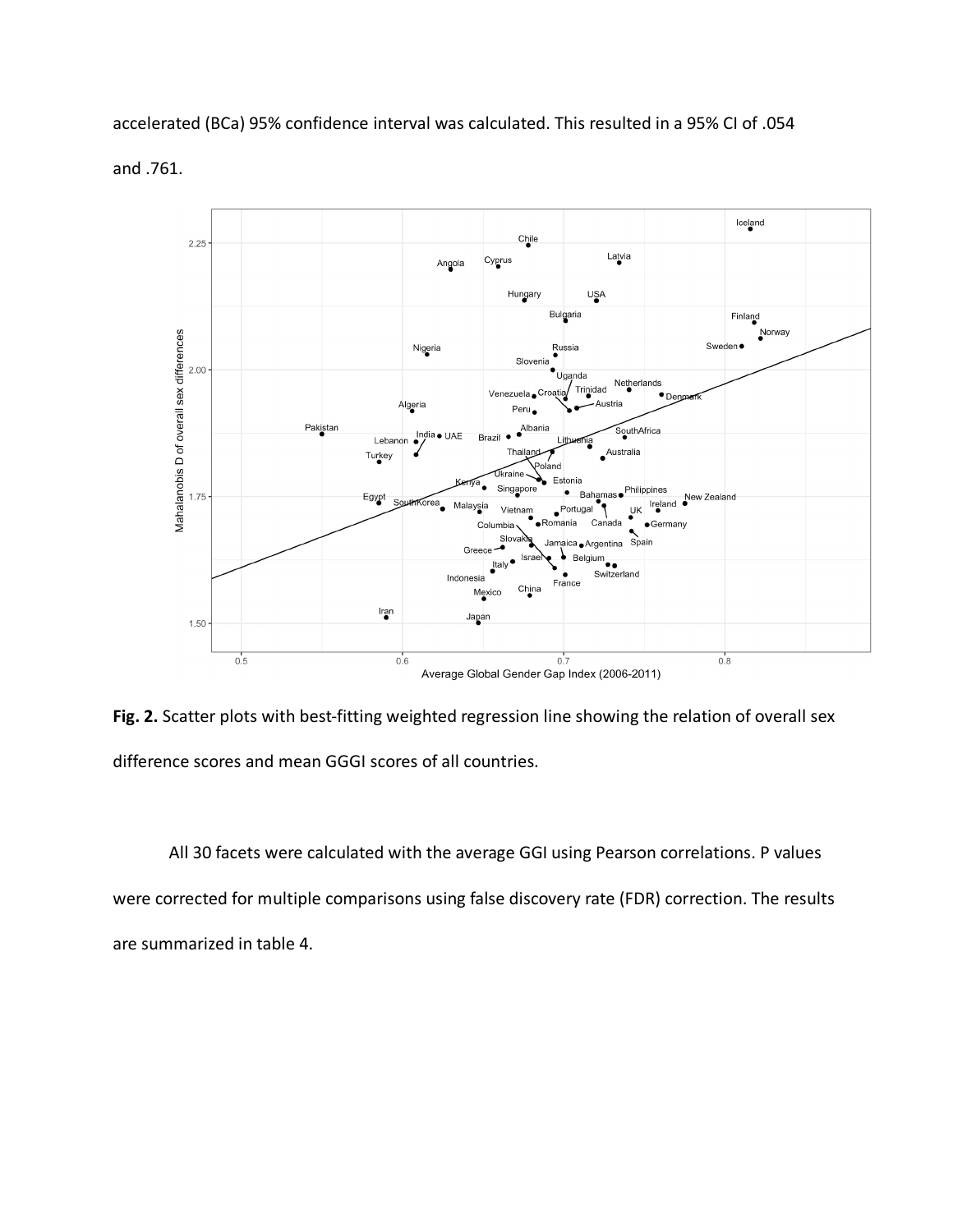accelerated (BCa) 95% confidence interval was calculated. This resulted in a 95% CI of .054





**Fig. 2.** Scatter plots with best-fitting weighted regression line showing the relation of overall sex difference scores and mean GGGI scores of all countries.

All 30 facets were calculated with the average GGI using Pearson correlations. P values were corrected for multiple comparisons using false discovery rate (FDR) correction. The results are summarized in table 4.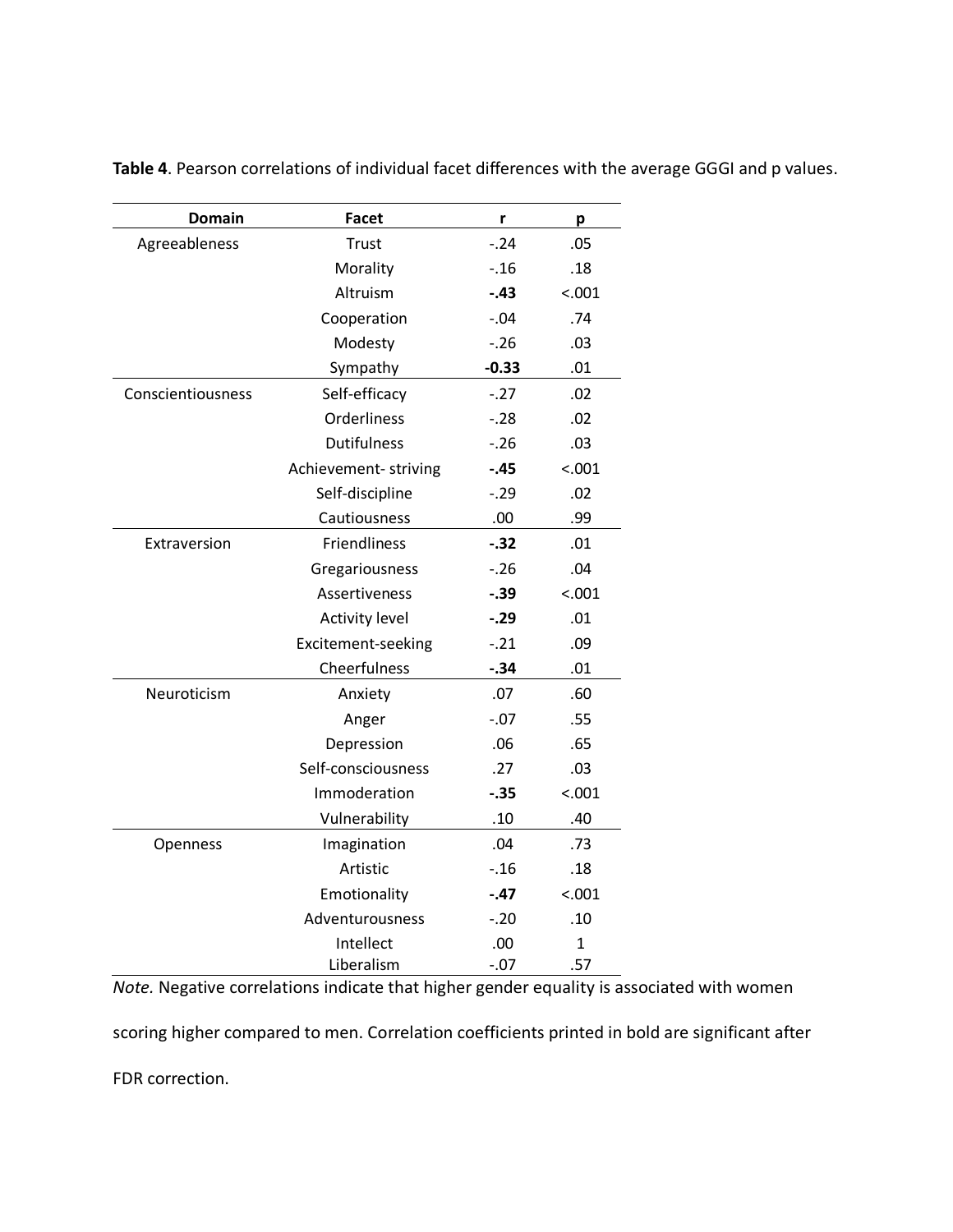| <b>Domain</b>     | <b>Facet</b>          | r       | р            |
|-------------------|-----------------------|---------|--------------|
| Agreeableness     | Trust                 | $-24$   | .05          |
|                   | Morality              | $-16$   | .18          |
|                   | Altruism              | $-.43$  | < .001       |
|                   | Cooperation           | $-.04$  | .74          |
|                   | Modesty               | $-26$   | .03          |
|                   | Sympathy              | $-0.33$ | .01          |
| Conscientiousness | Self-efficacy         | $-27$   | .02          |
|                   | Orderliness           | $-28$   | .02          |
|                   | <b>Dutifulness</b>    | $-26$   | .03          |
|                   | Achievement-striving  | $-.45$  | < .001       |
|                   | Self-discipline       | $-0.29$ | .02          |
|                   | Cautiousness          | .00     | .99          |
| Extraversion      | Friendliness          | $-.32$  | .01          |
|                   | Gregariousness        | $-26$   | .04          |
|                   | <b>Assertiveness</b>  | $-.39$  | < .001       |
|                   | <b>Activity level</b> | $-.29$  | .01          |
|                   | Excitement-seeking    | $-.21$  | .09          |
|                   | Cheerfulness          | $-.34$  | .01          |
| Neuroticism       | Anxiety               | .07     | .60          |
|                   | Anger                 | $-.07$  | .55          |
|                   | Depression            | .06     | .65          |
|                   | Self-consciousness    | .27     | .03          |
|                   | Immoderation          | $-.35$  | < .001       |
|                   | Vulnerability         | .10     | .40          |
| Openness          | Imagination           | .04     | .73          |
|                   | Artistic              | $-16$   | .18          |
|                   | Emotionality          | $-.47$  | < .001       |
|                   | Adventurousness       | $-.20$  | .10          |
|                   | Intellect             | .00     | $\mathbf{1}$ |
|                   | Liberalism            | $-.07$  | .57          |

**Table 4**. Pearson correlations of individual facet differences with the average GGGI and p values.

*Note.* Negative correlations indicate that higher gender equality is associated with women

scoring higher compared to men. Correlation coefficients printed in bold are significant after

FDR correction.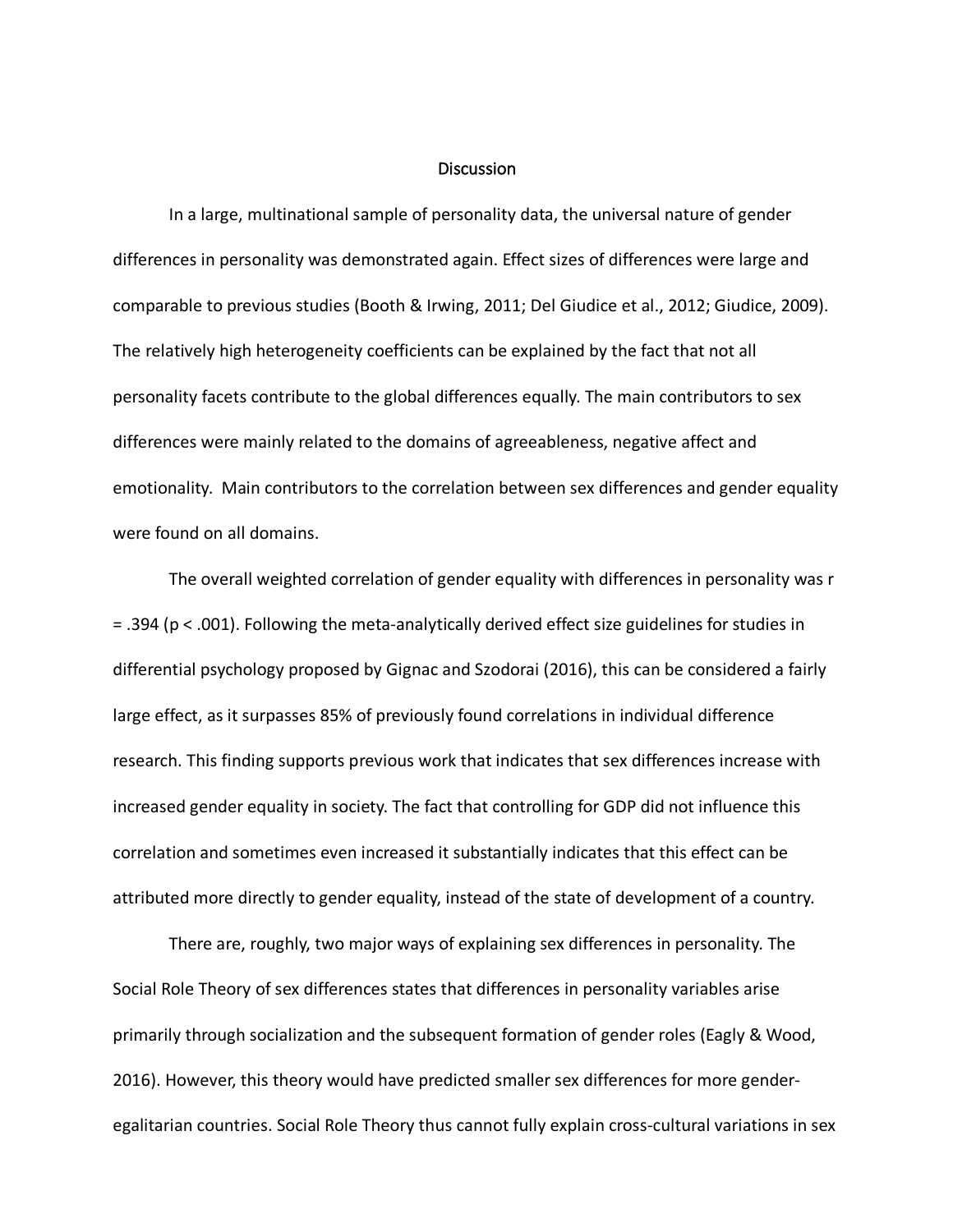#### **Discussion**

In a large, multinational sample of personality data, the universal nature of gender differences in personality was demonstrated again. Effect sizes of differences were large and comparable to previous studies (Booth & Irwing, 2011; Del Giudice et al., 2012; Giudice, 2009). The relatively high heterogeneity coefficients can be explained by the fact that not all personality facets contribute to the global differences equally. The main contributors to sex differences were mainly related to the domains of agreeableness, negative affect and emotionality. Main contributors to the correlation between sex differences and gender equality were found on all domains.

The overall weighted correlation of gender equality with differences in personality was r = .394 (p < .001). Following the meta-analytically derived effect size guidelines for studies in differential psychology proposed by Gignac and Szodorai (2016), this can be considered a fairly large effect, as it surpasses 85% of previously found correlations in individual difference research. This finding supports previous work that indicates that sex differences increase with increased gender equality in society. The fact that controlling for GDP did not influence this correlation and sometimes even increased it substantially indicates that this effect can be attributed more directly to gender equality, instead of the state of development of a country.

There are, roughly, two major ways of explaining sex differences in personality. The Social Role Theory of sex differences states that differences in personality variables arise primarily through socialization and the subsequent formation of gender roles (Eagly & Wood, 2016). However, this theory would have predicted smaller sex differences for more genderegalitarian countries. Social Role Theory thus cannot fully explain cross-cultural variations in sex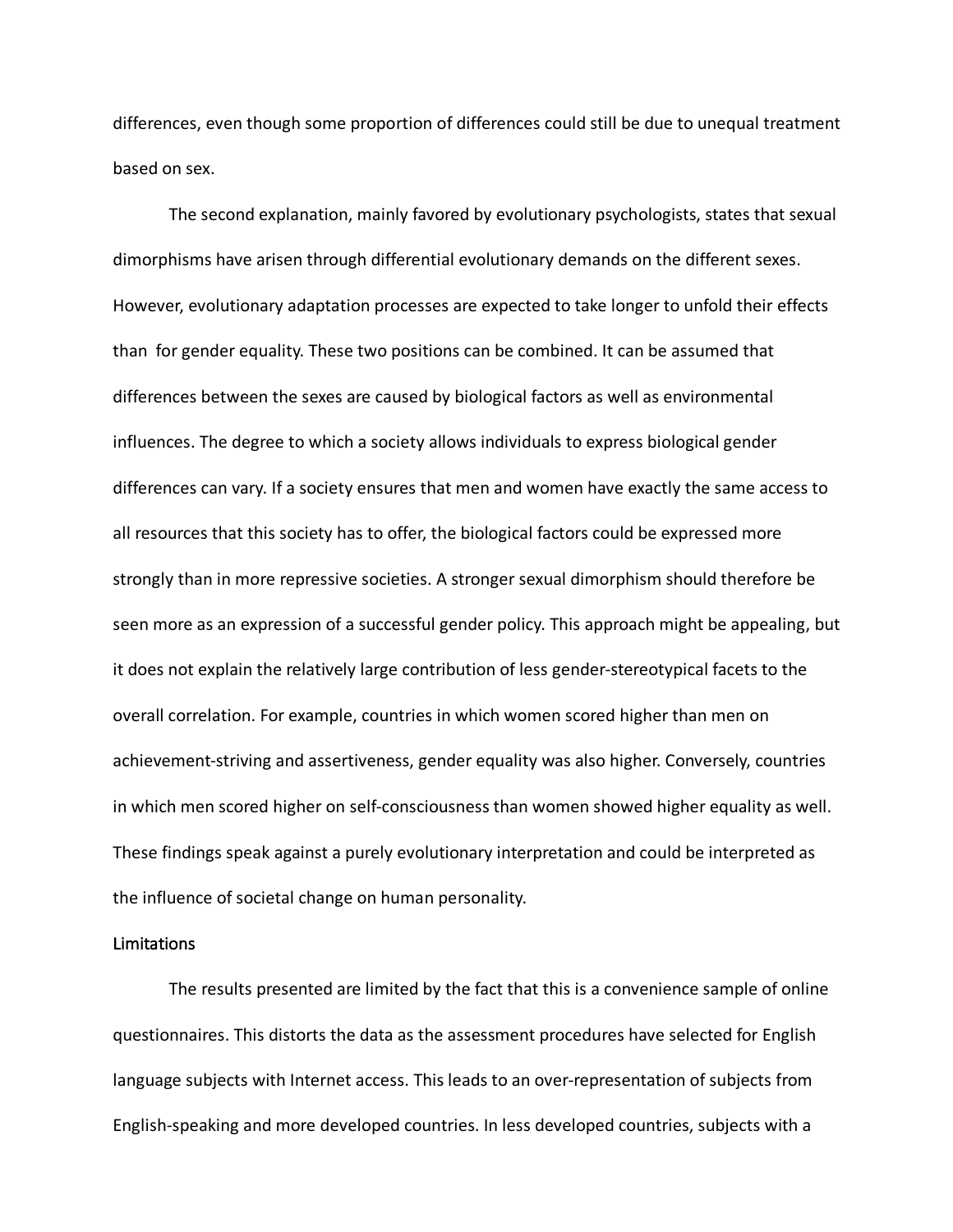differences, even though some proportion of differences could still be due to unequal treatment based on sex.

The second explanation, mainly favored by evolutionary psychologists, states that sexual dimorphisms have arisen through differential evolutionary demands on the different sexes. However, evolutionary adaptation processes are expected to take longer to unfold their effects than for gender equality. These two positions can be combined. It can be assumed that differences between the sexes are caused by biological factors as well as environmental influences. The degree to which a society allows individuals to express biological gender differences can vary. If a society ensures that men and women have exactly the same access to all resources that this society has to offer, the biological factors could be expressed more strongly than in more repressive societies. A stronger sexual dimorphism should therefore be seen more as an expression of a successful gender policy. This approach might be appealing, but it does not explain the relatively large contribution of less gender-stereotypical facets to the overall correlation. For example, countries in which women scored higher than men on achievement-striving and assertiveness, gender equality was also higher. Conversely, countries in which men scored higher on self-consciousness than women showed higher equality as well. These findings speak against a purely evolutionary interpretation and could be interpreted as the influence of societal change on human personality.

# Limitations

The results presented are limited by the fact that this is a convenience sample of online questionnaires. This distorts the data as the assessment procedures have selected for English language subjects with Internet access. This leads to an over-representation of subjects from English-speaking and more developed countries. In less developed countries, subjects with a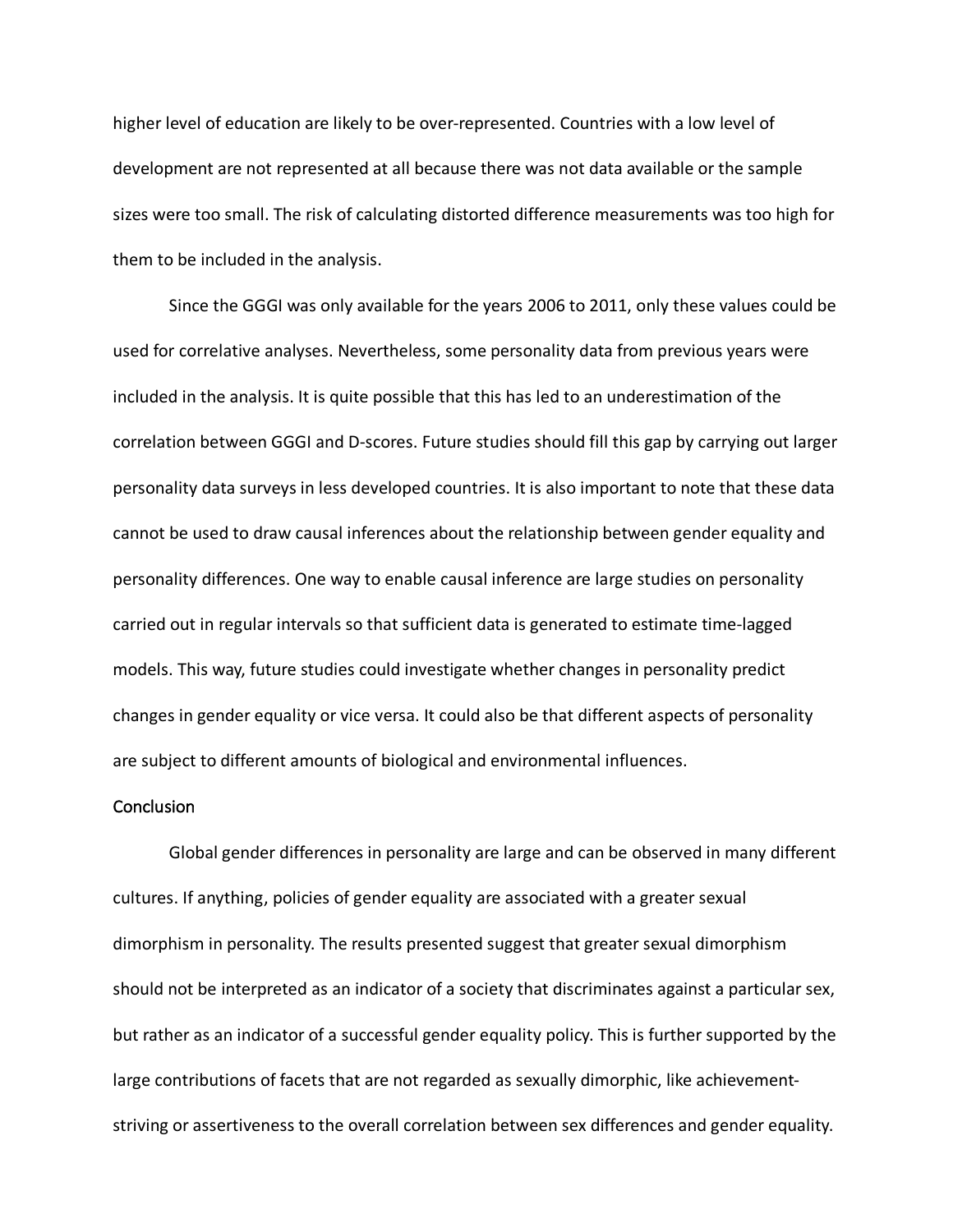higher level of education are likely to be over-represented. Countries with a low level of development are not represented at all because there was not data available or the sample sizes were too small. The risk of calculating distorted difference measurements was too high for them to be included in the analysis.

Since the GGGI was only available for the years 2006 to 2011, only these values could be used for correlative analyses. Nevertheless, some personality data from previous years were included in the analysis. It is quite possible that this has led to an underestimation of the correlation between GGGI and D-scores. Future studies should fill this gap by carrying out larger personality data surveys in less developed countries. It is also important to note that these data cannot be used to draw causal inferences about the relationship between gender equality and personality differences. One way to enable causal inference are large studies on personality carried out in regular intervals so that sufficient data is generated to estimate time-lagged models. This way, future studies could investigate whether changes in personality predict changes in gender equality or vice versa. It could also be that different aspects of personality are subject to different amounts of biological and environmental influences.

# **Conclusion**

Global gender differences in personality are large and can be observed in many different cultures. If anything, policies of gender equality are associated with a greater sexual dimorphism in personality. The results presented suggest that greater sexual dimorphism should not be interpreted as an indicator of a society that discriminates against a particular sex, but rather as an indicator of a successful gender equality policy. This is further supported by the large contributions of facets that are not regarded as sexually dimorphic, like achievementstriving or assertiveness to the overall correlation between sex differences and gender equality.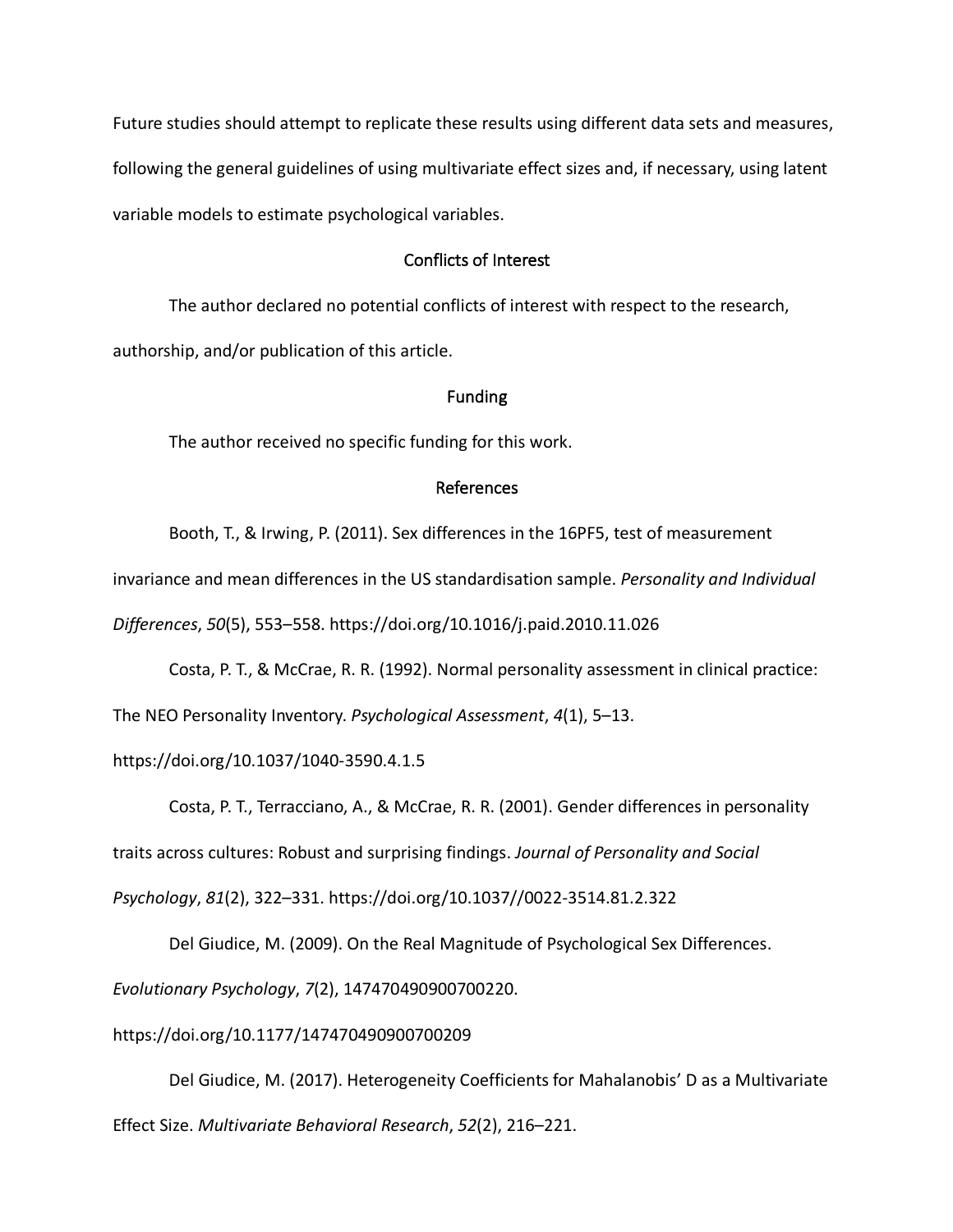Future studies should attempt to replicate these results using different data sets and measures, following the general guidelines of using multivariate effect sizes and, if necessary, using latent variable models to estimate psychological variables.

# Conflicts of Interest

The author declared no potential conflicts of interest with respect to the research, authorship, and/or publication of this article.

# Funding

The author received no specific funding for this work.

# References

Booth, T., & Irwing, P. (2011). Sex differences in the 16PF5, test of measurement

invariance and mean differences in the US standardisation sample. *Personality and Individual* 

*Differences*, *50*(5), 553–558. https://doi.org/10.1016/j.paid.2010.11.026

Costa, P. T., & McCrae, R. R. (1992). Normal personality assessment in clinical practice:

The NEO Personality Inventory. *Psychological Assessment*, *4*(1), 5–13.

https://doi.org/10.1037/1040-3590.4.1.5

Costa, P. T., Terracciano, A., & McCrae, R. R. (2001). Gender differences in personality

traits across cultures: Robust and surprising findings. *Journal of Personality and Social* 

*Psychology*, *81*(2), 322–331. https://doi.org/10.1037//0022-3514.81.2.322

Del Giudice, M. (2009). On the Real Magnitude of Psychological Sex Differences.

*Evolutionary Psychology*, *7*(2), 147470490900700220.

# https://doi.org/10.1177/147470490900700209

Del Giudice, M. (2017). Heterogeneity Coefficients for Mahalanobis' D as a Multivariate Effect Size. *Multivariate Behavioral Research*, *52*(2), 216–221.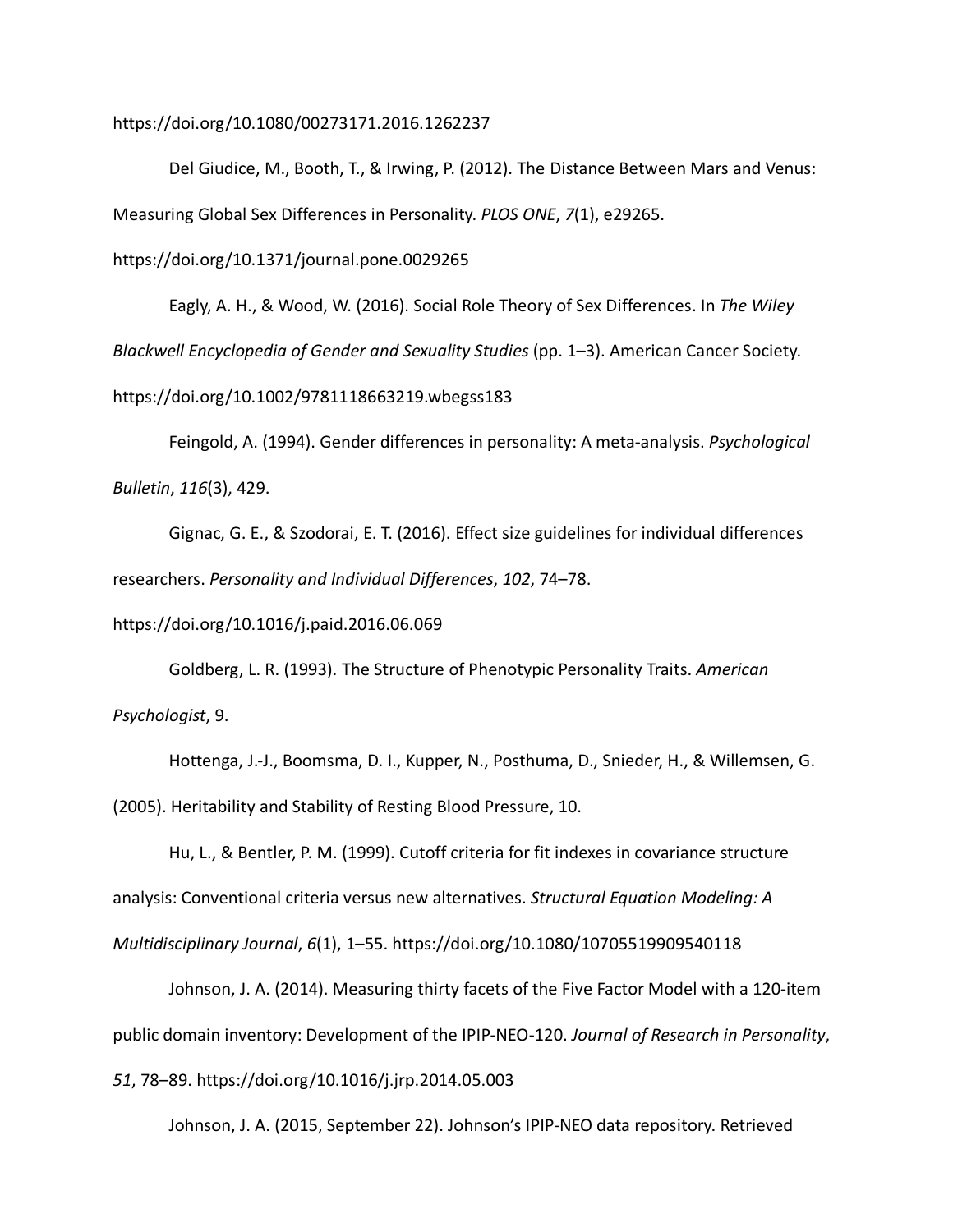https://doi.org/10.1080/00273171.2016.1262237

Del Giudice, M., Booth, T., & Irwing, P. (2012). The Distance Between Mars and Venus: Measuring Global Sex Differences in Personality. *PLOS ONE*, *7*(1), e29265.

https://doi.org/10.1371/journal.pone.0029265

Eagly, A. H., & Wood, W. (2016). Social Role Theory of Sex Differences. In *The Wiley Blackwell Encyclopedia of Gender and Sexuality Studies* (pp. 1–3). American Cancer Society. https://doi.org/10.1002/9781118663219.wbegss183

Feingold, A. (1994). Gender differences in personality: A meta-analysis. *Psychological Bulletin*, *116*(3), 429.

Gignac, G. E., & Szodorai, E. T. (2016). Effect size guidelines for individual differences researchers. *Personality and Individual Differences*, *102*, 74–78.

https://doi.org/10.1016/j.paid.2016.06.069

Goldberg, L. R. (1993). The Structure of Phenotypic Personality Traits. *American Psychologist*, 9.

Hottenga, J.-J., Boomsma, D. I., Kupper, N., Posthuma, D., Snieder, H., & Willemsen, G. (2005). Heritability and Stability of Resting Blood Pressure, 10.

Hu, L., & Bentler, P. M. (1999). Cutoff criteria for fit indexes in covariance structure analysis: Conventional criteria versus new alternatives. *Structural Equation Modeling: A Multidisciplinary Journal*, *6*(1), 1–55. https://doi.org/10.1080/10705519909540118

Johnson, J. A. (2014). Measuring thirty facets of the Five Factor Model with a 120-item public domain inventory: Development of the IPIP-NEO-120. *Journal of Research in Personality*, *51*, 78–89. https://doi.org/10.1016/j.jrp.2014.05.003

Johnson, J. A. (2015, September 22). Johnson's IPIP-NEO data repository. Retrieved